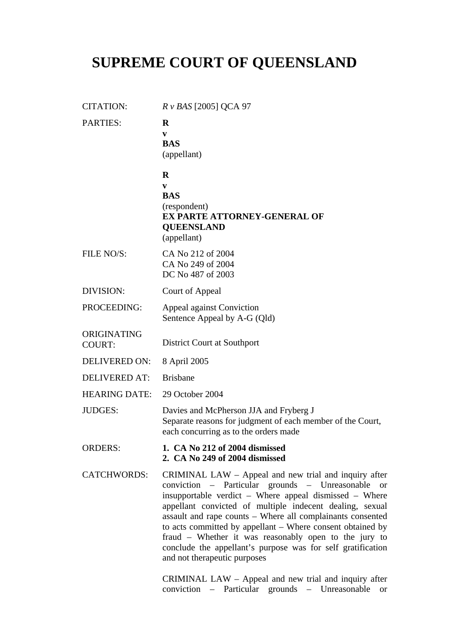# **SUPREME COURT OF QUEENSLAND**

| <b>CITATION:</b>             | $R \nu BAS$ [2005] QCA 97                                                                                                                                                                                                                                                                                                                                                                                                                                                                                            |
|------------------------------|----------------------------------------------------------------------------------------------------------------------------------------------------------------------------------------------------------------------------------------------------------------------------------------------------------------------------------------------------------------------------------------------------------------------------------------------------------------------------------------------------------------------|
| PARTIES:                     | $\bf{R}$<br>V<br><b>BAS</b><br>(appellant)                                                                                                                                                                                                                                                                                                                                                                                                                                                                           |
|                              | $\bf R$<br>V<br><b>BAS</b><br>(respondent)<br><b>EX PARTE ATTORNEY-GENERAL OF</b><br><b>QUEENSLAND</b><br>(appellant)                                                                                                                                                                                                                                                                                                                                                                                                |
| FILE NO/S:                   | CA No 212 of 2004<br>CA No 249 of 2004<br>DC No 487 of 2003                                                                                                                                                                                                                                                                                                                                                                                                                                                          |
| <b>DIVISION:</b>             | Court of Appeal                                                                                                                                                                                                                                                                                                                                                                                                                                                                                                      |
| PROCEEDING:                  | <b>Appeal against Conviction</b><br>Sentence Appeal by A-G (Qld)                                                                                                                                                                                                                                                                                                                                                                                                                                                     |
| ORIGINATING<br><b>COURT:</b> | District Court at Southport                                                                                                                                                                                                                                                                                                                                                                                                                                                                                          |
| <b>DELIVERED ON:</b>         | 8 April 2005                                                                                                                                                                                                                                                                                                                                                                                                                                                                                                         |
| <b>DELIVERED AT:</b>         | <b>Brisbane</b>                                                                                                                                                                                                                                                                                                                                                                                                                                                                                                      |
| <b>HEARING DATE:</b>         | 29 October 2004                                                                                                                                                                                                                                                                                                                                                                                                                                                                                                      |
| <b>JUDGES:</b>               | Davies and McPherson JJA and Fryberg J<br>Separate reasons for judgment of each member of the Court,<br>each concurring as to the orders made                                                                                                                                                                                                                                                                                                                                                                        |
| <b>ORDERS:</b>               | 1. CA No 212 of 2004 dismissed<br>2. CA No 249 of 2004 dismissed                                                                                                                                                                                                                                                                                                                                                                                                                                                     |
| <b>CATCHWORDS:</b>           | CRIMINAL LAW – Appeal and new trial and inquiry after<br>conviction – Particular grounds – Unreasonable or<br>insupportable verdict - Where appeal dismissed - Where<br>appellant convicted of multiple indecent dealing, sexual<br>assault and rape counts - Where all complainants consented<br>to acts committed by appellant – Where consent obtained by<br>fraud – Whether it was reasonably open to the jury to<br>conclude the appellant's purpose was for self gratification<br>and not therapeutic purposes |

CRIMINAL LAW – Appeal and new trial and inquiry after conviction – Particular grounds – Unreasonable or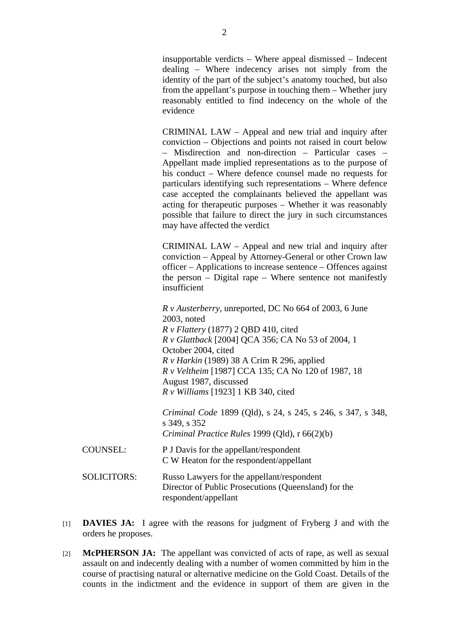insupportable verdicts – Where appeal dismissed – Indecent dealing – Where indecency arises not simply from the identity of the part of the subject's anatomy touched, but also from the appellant's purpose in touching them – Whether jury reasonably entitled to find indecency on the whole of the evidence

CRIMINAL LAW – Appeal and new trial and inquiry after conviction – Objections and points not raised in court below – Misdirection and non-direction – Particular cases – Appellant made implied representations as to the purpose of his conduct – Where defence counsel made no requests for particulars identifying such representations – Where defence case accepted the complainants believed the appellant was acting for therapeutic purposes – Whether it was reasonably possible that failure to direct the jury in such circumstances may have affected the verdict

CRIMINAL LAW – Appeal and new trial and inquiry after conviction – Appeal by Attorney-General or other Crown law officer – Applications to increase sentence – Offences against the person – Digital rape – Where sentence not manifestly insufficient

*R v Austerberry*, unreported, DC No 664 of 2003, 6 June 2003, noted *R v Flattery* (1877) 2 QBD 410, cited *R v Glattback* [2004] QCA 356; CA No 53 of 2004, 1 October 2004, cited *R v Harkin* (1989) 38 A Crim R 296, applied *R v Veltheim* [1987] CCA 135; CA No 120 of 1987, 18 August 1987, discussed *R v Williams* [1923] 1 KB 340, cited

*Criminal Code* 1899 (Qld), s 24, s 245, s 246, s 347, s 348, s 349, s 352 *Criminal Practice Rules* 1999 (Qld), r 66(2)(b)

- COUNSEL: P J Davis for the appellant/respondent C W Heaton for the respondent/appellant
- SOLICITORS: Russo Lawyers for the appellant/respondent Director of Public Prosecutions (Queensland) for the respondent/appellant
- [1] **DAVIES JA:** I agree with the reasons for judgment of Fryberg J and with the orders he proposes.
- [2] **McPHERSON JA:** The appellant was convicted of acts of rape, as well as sexual assault on and indecently dealing with a number of women committed by him in the course of practising natural or alternative medicine on the Gold Coast. Details of the counts in the indictment and the evidence in support of them are given in the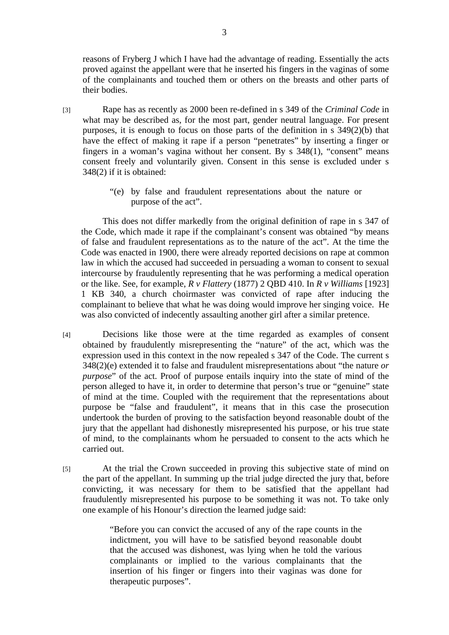reasons of Fryberg J which I have had the advantage of reading. Essentially the acts proved against the appellant were that he inserted his fingers in the vaginas of some of the complainants and touched them or others on the breasts and other parts of their bodies.

- [3] Rape has as recently as 2000 been re-defined in s 349 of the *Criminal Code* in what may be described as, for the most part, gender neutral language. For present purposes, it is enough to focus on those parts of the definition in s 349(2)(b) that have the effect of making it rape if a person "penetrates" by inserting a finger or fingers in a woman's vagina without her consent. By s 348(1), "consent" means consent freely and voluntarily given. Consent in this sense is excluded under s 348(2) if it is obtained:
	- "(e) by false and fraudulent representations about the nature or purpose of the act".

 This does not differ markedly from the original definition of rape in s 347 of the Code, which made it rape if the complainant's consent was obtained "by means of false and fraudulent representations as to the nature of the act". At the time the Code was enacted in 1900, there were already reported decisions on rape at common law in which the accused had succeeded in persuading a woman to consent to sexual intercourse by fraudulently representing that he was performing a medical operation or the like. See, for example, *R v Flattery* (1877) 2 QBD 410. In *R v Williams* [1923] 1 KB 340, a church choirmaster was convicted of rape after inducing the complainant to believe that what he was doing would improve her singing voice. He was also convicted of indecently assaulting another girl after a similar pretence.

- [4] Decisions like those were at the time regarded as examples of consent obtained by fraudulently misrepresenting the "nature" of the act, which was the expression used in this context in the now repealed s 347 of the Code. The current s 348(2)(e) extended it to false and fraudulent misrepresentations about "the nature *or purpose*" of the act. Proof of purpose entails inquiry into the state of mind of the person alleged to have it, in order to determine that person's true or "genuine" state of mind at the time. Coupled with the requirement that the representations about purpose be "false and fraudulent", it means that in this case the prosecution undertook the burden of proving to the satisfaction beyond reasonable doubt of the jury that the appellant had dishonestly misrepresented his purpose, or his true state of mind, to the complainants whom he persuaded to consent to the acts which he carried out.
- [5] At the trial the Crown succeeded in proving this subjective state of mind on the part of the appellant. In summing up the trial judge directed the jury that, before convicting, it was necessary for them to be satisfied that the appellant had fraudulently misrepresented his purpose to be something it was not. To take only one example of his Honour's direction the learned judge said:

"Before you can convict the accused of any of the rape counts in the indictment, you will have to be satisfied beyond reasonable doubt that the accused was dishonest, was lying when he told the various complainants or implied to the various complainants that the insertion of his finger or fingers into their vaginas was done for therapeutic purposes".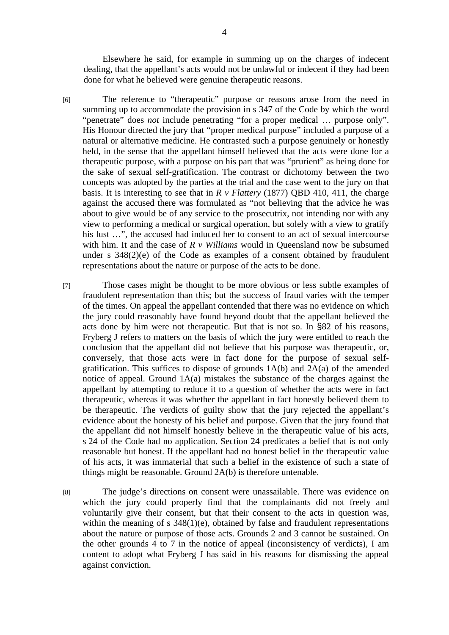Elsewhere he said, for example in summing up on the charges of indecent dealing, that the appellant's acts would not be unlawful or indecent if they had been done for what he believed were genuine therapeutic reasons.

- [6] The reference to "therapeutic" purpose or reasons arose from the need in summing up to accommodate the provision in s 347 of the Code by which the word "penetrate" does *not* include penetrating "for a proper medical … purpose only". His Honour directed the jury that "proper medical purpose" included a purpose of a natural or alternative medicine. He contrasted such a purpose genuinely or honestly held, in the sense that the appellant himself believed that the acts were done for a therapeutic purpose, with a purpose on his part that was "prurient" as being done for the sake of sexual self-gratification. The contrast or dichotomy between the two concepts was adopted by the parties at the trial and the case went to the jury on that basis. It is interesting to see that in *R v Flattery* (1877) QBD 410, 411, the charge against the accused there was formulated as "not believing that the advice he was about to give would be of any service to the prosecutrix, not intending nor with any view to performing a medical or surgical operation, but solely with a view to gratify his lust ...", the accused had induced her to consent to an act of sexual intercourse with him. It and the case of *R v Williams* would in Queensland now be subsumed under s 348(2)(e) of the Code as examples of a consent obtained by fraudulent representations about the nature or purpose of the acts to be done.
- [7] Those cases might be thought to be more obvious or less subtle examples of fraudulent representation than this; but the success of fraud varies with the temper of the times. On appeal the appellant contended that there was no evidence on which the jury could reasonably have found beyond doubt that the appellant believed the acts done by him were not therapeutic. But that is not so. In §82 of his reasons, Fryberg J refers to matters on the basis of which the jury were entitled to reach the conclusion that the appellant did not believe that his purpose was therapeutic, or, conversely, that those acts were in fact done for the purpose of sexual selfgratification. This suffices to dispose of grounds 1A(b) and 2A(a) of the amended notice of appeal. Ground 1A(a) mistakes the substance of the charges against the appellant by attempting to reduce it to a question of whether the acts were in fact therapeutic, whereas it was whether the appellant in fact honestly believed them to be therapeutic. The verdicts of guilty show that the jury rejected the appellant's evidence about the honesty of his belief and purpose. Given that the jury found that the appellant did not himself honestly believe in the therapeutic value of his acts, s 24 of the Code had no application. Section 24 predicates a belief that is not only reasonable but honest. If the appellant had no honest belief in the therapeutic value of his acts, it was immaterial that such a belief in the existence of such a state of things might be reasonable. Ground 2A(b) is therefore untenable.

[8] The judge's directions on consent were unassailable. There was evidence on which the jury could properly find that the complainants did not freely and voluntarily give their consent, but that their consent to the acts in question was, within the meaning of s  $348(1)(e)$ , obtained by false and fraudulent representations about the nature or purpose of those acts. Grounds 2 and 3 cannot be sustained. On the other grounds 4 to 7 in the notice of appeal (inconsistency of verdicts), I am content to adopt what Fryberg J has said in his reasons for dismissing the appeal against conviction.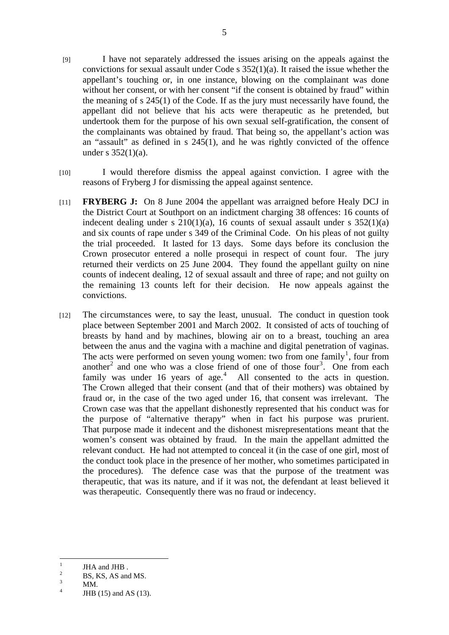- [9] I have not separately addressed the issues arising on the appeals against the convictions for sexual assault under Code s  $352(1)(a)$ . It raised the issue whether the appellant's touching or, in one instance, blowing on the complainant was done without her consent, or with her consent "if the consent is obtained by fraud" within the meaning of s 245(1) of the Code. If as the jury must necessarily have found, the appellant did not believe that his acts were therapeutic as he pretended, but undertook them for the purpose of his own sexual self-gratification, the consent of the complainants was obtained by fraud. That being so, the appellant's action was an "assault" as defined in s 245(1), and he was rightly convicted of the offence under s  $352(1)(a)$ .
- [10] I would therefore dismiss the appeal against conviction. I agree with the reasons of Fryberg J for dismissing the appeal against sentence.
- [11] **FRYBERG J:** On 8 June 2004 the appellant was arraigned before Healy DCJ in the District Court at Southport on an indictment charging 38 offences: 16 counts of indecent dealing under s  $210(1)(a)$ , 16 counts of sexual assault under s  $352(1)(a)$ and six counts of rape under s 349 of the Criminal Code. On his pleas of not guilty the trial proceeded. It lasted for 13 days. Some days before its conclusion the Crown prosecutor entered a nolle prosequi in respect of count four. The jury returned their verdicts on 25 June 2004. They found the appellant guilty on nine counts of indecent dealing, 12 of sexual assault and three of rape; and not guilty on the remaining 13 counts left for their decision. He now appeals against the convictions.
- [12] The circumstances were, to say the least, unusual. The conduct in question took place between September 2001 and March 2002. It consisted of acts of touching of breasts by hand and by machines, blowing air on to a breast, touching an area between the anus and the vagina with a machine and digital penetration of vaginas. The acts were performed on seven young women: two from one family<sup>1</sup>, four from another<sup>2</sup> and one who was a close friend of one of those four<sup>3</sup>. One from each family was under 16 years of age. $4$  All consented to the acts in question. The Crown alleged that their consent (and that of their mothers) was obtained by fraud or, in the case of the two aged under 16, that consent was irrelevant. The Crown case was that the appellant dishonestly represented that his conduct was for the purpose of "alternative therapy" when in fact his purpose was prurient. That purpose made it indecent and the dishonest misrepresentations meant that the women's consent was obtained by fraud. In the main the appellant admitted the relevant conduct. He had not attempted to conceal it (in the case of one girl, most of the conduct took place in the presence of her mother, who sometimes participated in the procedures). The defence case was that the purpose of the treatment was therapeutic, that was its nature, and if it was not, the defendant at least believed it was therapeutic. Consequently there was no fraud or indecency.

 $\frac{1}{1}$ JHA and JHB .

<sup>2</sup> BS, KS, AS and MS.

<sup>3</sup> MM.

<sup>4</sup> JHB (15) and AS (13).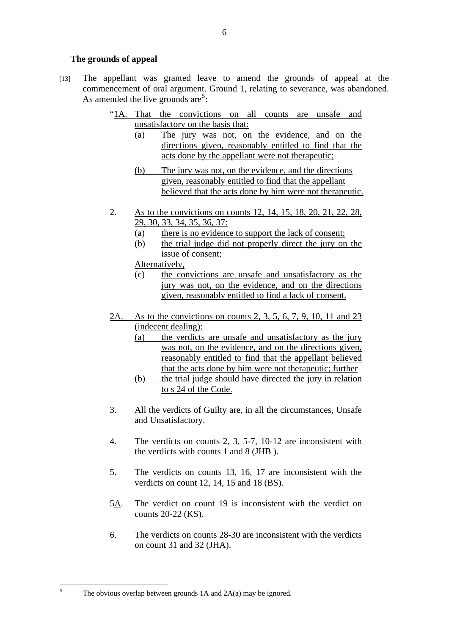# **The grounds of appeal**

- [13] The appellant was granted leave to amend the grounds of appeal at the commencement of oral argument. Ground 1, relating to severance, was abandoned. As amended the live grounds are<sup>5</sup>:
	- "1A. That the convictions on all counts are unsafe and unsatisfactory on the basis that:
		- (a) The jury was not, on the evidence, and on the directions given, reasonably entitled to find that the acts done by the appellant were not therapeutic;
		- (b) The jury was not, on the evidence, and the directions given, reasonably entitled to find that the appellant believed that the acts done by him were not therapeutic.
	- 2. As to the convictions on counts 12, 14, 15, 18, 20, 21, 22, 28, 29, 30, 33, 34, 35, 36, 37:
		- (a) there is no evidence to support the lack of consent;
		- (b) the trial judge did not properly direct the jury on the issue of consent;

Alternatively,

- (c) the convictions are unsafe and unsatisfactory as the jury was not, on the evidence, and on the directions given, reasonably entitled to find a lack of consent.
- 2A. As to the convictions on counts 2, 3, 5, 6, 7, 9, 10, 11 and 23 (indecent dealing):
	- (a) the verdicts are unsafe and unsatisfactory as the jury was not, on the evidence, and on the directions given, reasonably entitled to find that the appellant believed that the acts done by him were not therapeutic; further
	- (b) the trial judge should have directed the jury in relation to s 24 of the Code.
- 3. All the verdicts of Guilty are, in all the circumstances, Unsafe and Unsatisfactory.
- 4. The verdicts on counts 2, 3, 5-7, 10-12 are inconsistent with the verdicts with counts 1 and 8 (JHB ).
- 5. The verdicts on counts 13, 16, 17 are inconsistent with the verdicts on count 12, 14, 15 and 18 (BS).
- 5A. The verdict on count 19 is inconsistent with the verdict on counts 20-22 (KS).
- 6. The verdicts on counts 28-30 are inconsistent with the verdicts on count 31 and 32 (JHA).

The obvious overlap between grounds 1A and 2A(a) may be ignored.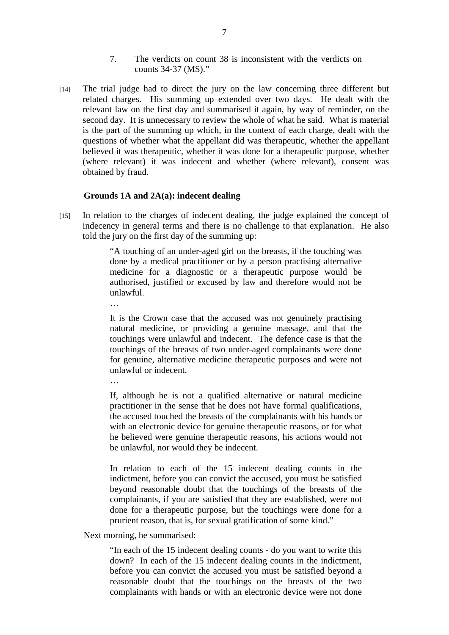- 7. The verdicts on count 38 is inconsistent with the verdicts on counts 34-37 (MS)."
- [14] The trial judge had to direct the jury on the law concerning three different but related charges. His summing up extended over two days. He dealt with the relevant law on the first day and summarised it again, by way of reminder, on the second day. It is unnecessary to review the whole of what he said. What is material is the part of the summing up which, in the context of each charge, dealt with the questions of whether what the appellant did was therapeutic, whether the appellant believed it was therapeutic, whether it was done for a therapeutic purpose, whether (where relevant) it was indecent and whether (where relevant), consent was obtained by fraud.

## **Grounds 1A and 2A(a): indecent dealing**

[15] In relation to the charges of indecent dealing, the judge explained the concept of indecency in general terms and there is no challenge to that explanation. He also told the jury on the first day of the summing up:

> "A touching of an under-aged girl on the breasts, if the touching was done by a medical practitioner or by a person practising alternative medicine for a diagnostic or a therapeutic purpose would be authorised, justified or excused by law and therefore would not be unlawful.

> It is the Crown case that the accused was not genuinely practising natural medicine, or providing a genuine massage, and that the touchings were unlawful and indecent. The defence case is that the touchings of the breasts of two under-aged complainants were done for genuine, alternative medicine therapeutic purposes and were not unlawful or indecent.

> If, although he is not a qualified alternative or natural medicine practitioner in the sense that he does not have formal qualifications, the accused touched the breasts of the complainants with his hands or with an electronic device for genuine therapeutic reasons, or for what he believed were genuine therapeutic reasons, his actions would not be unlawful, nor would they be indecent.

> In relation to each of the 15 indecent dealing counts in the indictment, before you can convict the accused, you must be satisfied beyond reasonable doubt that the touchings of the breasts of the complainants, if you are satisfied that they are established, were not done for a therapeutic purpose, but the touchings were done for a prurient reason, that is, for sexual gratification of some kind."

Next morning, he summarised:

…

"In each of the 15 indecent dealing counts - do you want to write this down? In each of the 15 indecent dealing counts in the indictment, before you can convict the accused you must be satisfied beyond a reasonable doubt that the touchings on the breasts of the two complainants with hands or with an electronic device were not done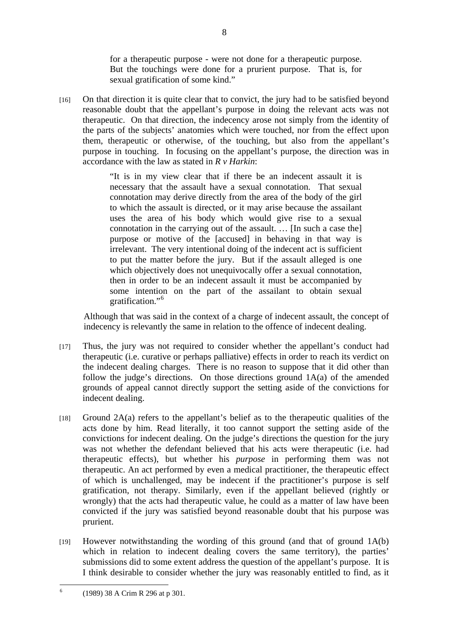for a therapeutic purpose - were not done for a therapeutic purpose. But the touchings were done for a prurient purpose. That is, for sexual gratification of some kind."

[16] On that direction it is quite clear that to convict, the jury had to be satisfied beyond reasonable doubt that the appellant's purpose in doing the relevant acts was not therapeutic. On that direction, the indecency arose not simply from the identity of the parts of the subjects' anatomies which were touched, nor from the effect upon them, therapeutic or otherwise, of the touching, but also from the appellant's purpose in touching. In focusing on the appellant's purpose, the direction was in accordance with the law as stated in *R v Harkin*:

> "It is in my view clear that if there be an indecent assault it is necessary that the assault have a sexual connotation. That sexual connotation may derive directly from the area of the body of the girl to which the assault is directed, or it may arise because the assailant uses the area of his body which would give rise to a sexual connotation in the carrying out of the assault. … [In such a case the] purpose or motive of the [accused] in behaving in that way is irrelevant. The very intentional doing of the indecent act is sufficient to put the matter before the jury. But if the assault alleged is one which objectively does not unequivocally offer a sexual connotation, then in order to be an indecent assault it must be accompanied by some intention on the part of the assailant to obtain sexual gratification."<sup>6</sup>

Although that was said in the context of a charge of indecent assault, the concept of indecency is relevantly the same in relation to the offence of indecent dealing.

- [17] Thus, the jury was not required to consider whether the appellant's conduct had therapeutic (i.e. curative or perhaps palliative) effects in order to reach its verdict on the indecent dealing charges. There is no reason to suppose that it did other than follow the judge's directions. On those directions ground 1A(a) of the amended grounds of appeal cannot directly support the setting aside of the convictions for indecent dealing.
- $[18]$  Ground 2A(a) refers to the appellant's belief as to the therapeutic qualities of the acts done by him. Read literally, it too cannot support the setting aside of the convictions for indecent dealing. On the judge's directions the question for the jury was not whether the defendant believed that his acts were therapeutic (i.e. had therapeutic effects), but whether his *purpose* in performing them was not therapeutic. An act performed by even a medical practitioner, the therapeutic effect of which is unchallenged, may be indecent if the practitioner's purpose is self gratification, not therapy. Similarly, even if the appellant believed (rightly or wrongly) that the acts had therapeutic value, he could as a matter of law have been convicted if the jury was satisfied beyond reasonable doubt that his purpose was prurient.
- $[19]$  However notwithstanding the wording of this ground (and that of ground  $1A(b)$ ) which in relation to indecent dealing covers the same territory), the parties' submissions did to some extent address the question of the appellant's purpose. It is I think desirable to consider whether the jury was reasonably entitled to find, as it

8

 $\frac{1}{6}$ (1989) 38 A Crim R 296 at p 301.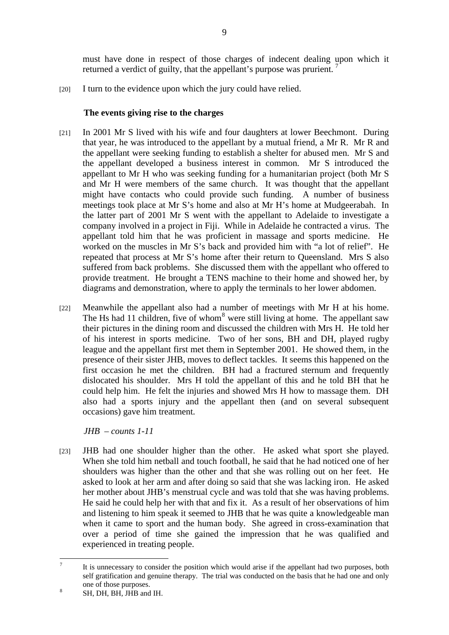must have done in respect of those charges of indecent dealing upon which it returned a verdict of guilty, that the appellant's purpose was prurient.

[20] I turn to the evidence upon which the jury could have relied.

# **The events giving rise to the charges**

- [21] In 2001 Mr S lived with his wife and four daughters at lower Beechmont. During that year, he was introduced to the appellant by a mutual friend, a Mr R. Mr R and the appellant were seeking funding to establish a shelter for abused men. Mr S and the appellant developed a business interest in common. Mr S introduced the appellant to Mr H who was seeking funding for a humanitarian project (both Mr S and Mr H were members of the same church. It was thought that the appellant might have contacts who could provide such funding. A number of business meetings took place at Mr S's home and also at Mr H's home at Mudgeerabah. In the latter part of 2001 Mr S went with the appellant to Adelaide to investigate a company involved in a project in Fiji. While in Adelaide he contracted a virus. The appellant told him that he was proficient in massage and sports medicine. He worked on the muscles in Mr S's back and provided him with "a lot of relief". He repeated that process at Mr S's home after their return to Queensland. Mrs S also suffered from back problems. She discussed them with the appellant who offered to provide treatment. He brought a TENS machine to their home and showed her, by diagrams and demonstration, where to apply the terminals to her lower abdomen.
- [22] Meanwhile the appellant also had a number of meetings with Mr H at his home. The Hs had 11 children, five of whom<sup>8</sup> were still living at home. The appellant saw their pictures in the dining room and discussed the children with Mrs H. He told her of his interest in sports medicine. Two of her sons, BH and DH, played rugby league and the appellant first met them in September 2001. He showed them, in the presence of their sister JHB, moves to deflect tackles. It seems this happened on the first occasion he met the children. BH had a fractured sternum and frequently dislocated his shoulder. Mrs H told the appellant of this and he told BH that he could help him. He felt the injuries and showed Mrs H how to massage them. DH also had a sports injury and the appellant then (and on several subsequent occasions) gave him treatment.

*JHB – counts 1-11* 

[23] JHB had one shoulder higher than the other. He asked what sport she played. When she told him netball and touch football, he said that he had noticed one of her shoulders was higher than the other and that she was rolling out on her feet. He asked to look at her arm and after doing so said that she was lacking iron. He asked her mother about JHB's menstrual cycle and was told that she was having problems. He said he could help her with that and fix it. As a result of her observations of him and listening to him speak it seemed to JHB that he was quite a knowledgeable man when it came to sport and the human body. She agreed in cross-examination that over a period of time she gained the impression that he was qualified and experienced in treating people.

<sup>&</sup>lt;sup>-</sup> It is unnecessary to consider the position which would arise if the appellant had two purposes, both self gratification and genuine therapy. The trial was conducted on the basis that he had one and only one of those purposes.

SH, DH, BH, JHB and IH.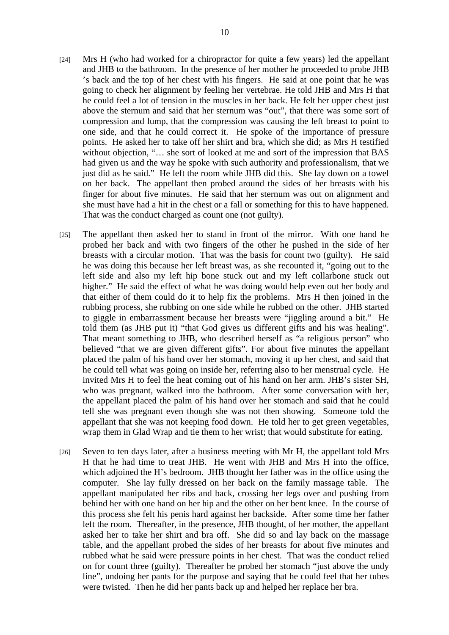- [24] Mrs H (who had worked for a chiropractor for quite a few years) led the appellant and JHB to the bathroom. In the presence of her mother he proceeded to probe JHB 's back and the top of her chest with his fingers. He said at one point that he was going to check her alignment by feeling her vertebrae. He told JHB and Mrs H that he could feel a lot of tension in the muscles in her back. He felt her upper chest just above the sternum and said that her sternum was "out", that there was some sort of compression and lump, that the compression was causing the left breast to point to one side, and that he could correct it. He spoke of the importance of pressure points. He asked her to take off her shirt and bra, which she did; as Mrs H testified without objection, "... she sort of looked at me and sort of the impression that BAS had given us and the way he spoke with such authority and professionalism, that we just did as he said." He left the room while JHB did this. She lay down on a towel on her back. The appellant then probed around the sides of her breasts with his finger for about five minutes. He said that her sternum was out on alignment and she must have had a hit in the chest or a fall or something for this to have happened. That was the conduct charged as count one (not guilty).
- [25] The appellant then asked her to stand in front of the mirror. With one hand he probed her back and with two fingers of the other he pushed in the side of her breasts with a circular motion. That was the basis for count two (guilty). He said he was doing this because her left breast was, as she recounted it, "going out to the left side and also my left hip bone stuck out and my left collarbone stuck out higher." He said the effect of what he was doing would help even out her body and that either of them could do it to help fix the problems. Mrs H then joined in the rubbing process, she rubbing on one side while he rubbed on the other. JHB started to giggle in embarrassment because her breasts were "jiggling around a bit." He told them (as JHB put it) "that God gives us different gifts and his was healing". That meant something to JHB, who described herself as "a religious person" who believed "that we are given different gifts". For about five minutes the appellant placed the palm of his hand over her stomach, moving it up her chest, and said that he could tell what was going on inside her, referring also to her menstrual cycle. He invited Mrs H to feel the heat coming out of his hand on her arm. JHB's sister SH, who was pregnant, walked into the bathroom. After some conversation with her, the appellant placed the palm of his hand over her stomach and said that he could tell she was pregnant even though she was not then showing. Someone told the appellant that she was not keeping food down. He told her to get green vegetables, wrap them in Glad Wrap and tie them to her wrist; that would substitute for eating.
- [26] Seven to ten days later, after a business meeting with Mr H, the appellant told Mrs H that he had time to treat JHB. He went with JHB and Mrs H into the office, which adjoined the H's bedroom. JHB thought her father was in the office using the computer. She lay fully dressed on her back on the family massage table. The appellant manipulated her ribs and back, crossing her legs over and pushing from behind her with one hand on her hip and the other on her bent knee. In the course of this process she felt his penis hard against her backside. After some time her father left the room. Thereafter, in the presence, JHB thought, of her mother, the appellant asked her to take her shirt and bra off. She did so and lay back on the massage table, and the appellant probed the sides of her breasts for about five minutes and rubbed what he said were pressure points in her chest. That was the conduct relied on for count three (guilty). Thereafter he probed her stomach "just above the undy line", undoing her pants for the purpose and saying that he could feel that her tubes were twisted. Then he did her pants back up and helped her replace her bra.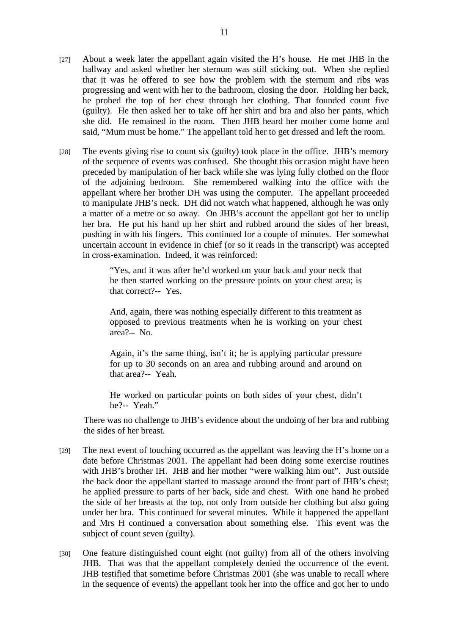- [27] About a week later the appellant again visited the H's house. He met JHB in the hallway and asked whether her sternum was still sticking out. When she replied that it was he offered to see how the problem with the sternum and ribs was progressing and went with her to the bathroom, closing the door. Holding her back, he probed the top of her chest through her clothing. That founded count five (guilty). He then asked her to take off her shirt and bra and also her pants, which she did. He remained in the room. Then JHB heard her mother come home and said, "Mum must be home." The appellant told her to get dressed and left the room.
- [28] The events giving rise to count six (guilty) took place in the office. JHB's memory of the sequence of events was confused. She thought this occasion might have been preceded by manipulation of her back while she was lying fully clothed on the floor of the adjoining bedroom. She remembered walking into the office with the appellant where her brother DH was using the computer. The appellant proceeded to manipulate JHB's neck. DH did not watch what happened, although he was only a matter of a metre or so away. On JHB's account the appellant got her to unclip her bra. He put his hand up her shirt and rubbed around the sides of her breast, pushing in with his fingers. This continued for a couple of minutes. Her somewhat uncertain account in evidence in chief (or so it reads in the transcript) was accepted in cross-examination. Indeed, it was reinforced:

"Yes, and it was after he'd worked on your back and your neck that he then started working on the pressure points on your chest area; is that correct?-- Yes.

And, again, there was nothing especially different to this treatment as opposed to previous treatments when he is working on your chest area?-- No.

Again, it's the same thing, isn't it; he is applying particular pressure for up to 30 seconds on an area and rubbing around and around on that area?-- Yeah.

He worked on particular points on both sides of your chest, didn't he?-- Yeah."

There was no challenge to JHB's evidence about the undoing of her bra and rubbing the sides of her breast.

- [29] The next event of touching occurred as the appellant was leaving the H's home on a date before Christmas 2001. The appellant had been doing some exercise routines with JHB's brother IH. JHB and her mother "were walking him out". Just outside the back door the appellant started to massage around the front part of JHB's chest; he applied pressure to parts of her back, side and chest. With one hand he probed the side of her breasts at the top, not only from outside her clothing but also going under her bra. This continued for several minutes. While it happened the appellant and Mrs H continued a conversation about something else. This event was the subject of count seven (guilty).
- [30] One feature distinguished count eight (not guilty) from all of the others involving JHB. That was that the appellant completely denied the occurrence of the event. JHB testified that sometime before Christmas 2001 (she was unable to recall where in the sequence of events) the appellant took her into the office and got her to undo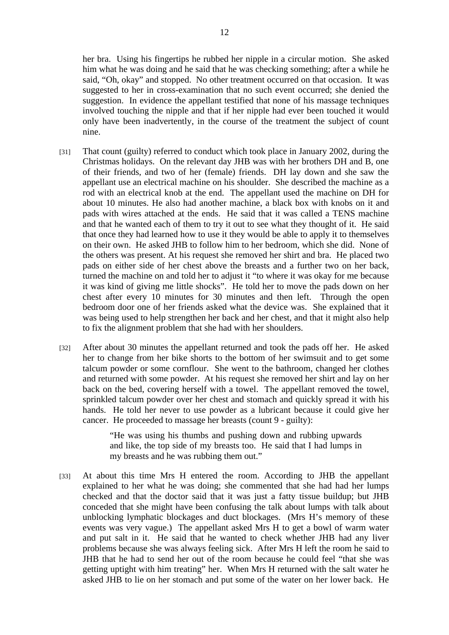her bra. Using his fingertips he rubbed her nipple in a circular motion. She asked him what he was doing and he said that he was checking something; after a while he said, "Oh, okay" and stopped. No other treatment occurred on that occasion. It was suggested to her in cross-examination that no such event occurred; she denied the suggestion. In evidence the appellant testified that none of his massage techniques involved touching the nipple and that if her nipple had ever been touched it would only have been inadvertently, in the course of the treatment the subject of count nine.

- [31] That count (guilty) referred to conduct which took place in January 2002, during the Christmas holidays. On the relevant day JHB was with her brothers DH and B, one of their friends, and two of her (female) friends. DH lay down and she saw the appellant use an electrical machine on his shoulder. She described the machine as a rod with an electrical knob at the end. The appellant used the machine on DH for about 10 minutes. He also had another machine, a black box with knobs on it and pads with wires attached at the ends. He said that it was called a TENS machine and that he wanted each of them to try it out to see what they thought of it. He said that once they had learned how to use it they would be able to apply it to themselves on their own. He asked JHB to follow him to her bedroom, which she did. None of the others was present. At his request she removed her shirt and bra. He placed two pads on either side of her chest above the breasts and a further two on her back, turned the machine on and told her to adjust it "to where it was okay for me because it was kind of giving me little shocks". He told her to move the pads down on her chest after every 10 minutes for 30 minutes and then left. Through the open bedroom door one of her friends asked what the device was. She explained that it was being used to help strengthen her back and her chest, and that it might also help to fix the alignment problem that she had with her shoulders.
- [32] After about 30 minutes the appellant returned and took the pads off her. He asked her to change from her bike shorts to the bottom of her swimsuit and to get some talcum powder or some cornflour. She went to the bathroom, changed her clothes and returned with some powder. At his request she removed her shirt and lay on her back on the bed, covering herself with a towel. The appellant removed the towel, sprinkled talcum powder over her chest and stomach and quickly spread it with his hands. He told her never to use powder as a lubricant because it could give her cancer. He proceeded to massage her breasts (count 9 - guilty):

"He was using his thumbs and pushing down and rubbing upwards and like, the top side of my breasts too. He said that I had lumps in my breasts and he was rubbing them out."

[33] At about this time Mrs H entered the room. According to JHB the appellant explained to her what he was doing; she commented that she had had her lumps checked and that the doctor said that it was just a fatty tissue buildup; but JHB conceded that she might have been confusing the talk about lumps with talk about unblocking lymphatic blockages and duct blockages. (Mrs H's memory of these events was very vague.) The appellant asked Mrs H to get a bowl of warm water and put salt in it. He said that he wanted to check whether JHB had any liver problems because she was always feeling sick. After Mrs H left the room he said to JHB that he had to send her out of the room because he could feel "that she was getting uptight with him treating" her. When Mrs H returned with the salt water he asked JHB to lie on her stomach and put some of the water on her lower back. He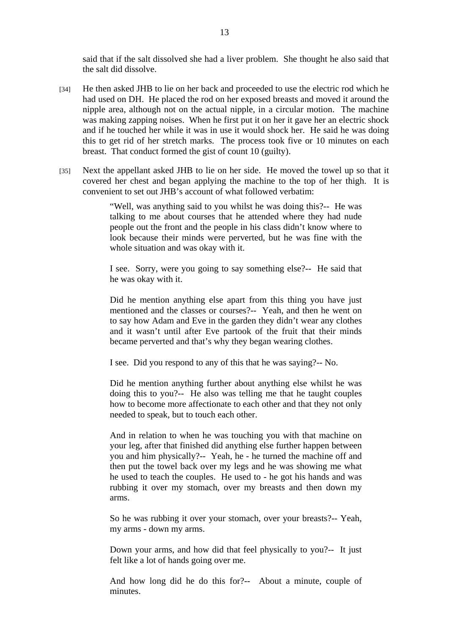said that if the salt dissolved she had a liver problem. She thought he also said that the salt did dissolve.

- [34] He then asked JHB to lie on her back and proceeded to use the electric rod which he had used on DH. He placed the rod on her exposed breasts and moved it around the nipple area, although not on the actual nipple, in a circular motion. The machine was making zapping noises. When he first put it on her it gave her an electric shock and if he touched her while it was in use it would shock her. He said he was doing this to get rid of her stretch marks. The process took five or 10 minutes on each breast. That conduct formed the gist of count 10 (guilty).
- [35] Next the appellant asked JHB to lie on her side. He moved the towel up so that it covered her chest and began applying the machine to the top of her thigh. It is convenient to set out JHB's account of what followed verbatim:

"Well, was anything said to you whilst he was doing this?-- He was talking to me about courses that he attended where they had nude people out the front and the people in his class didn't know where to look because their minds were perverted, but he was fine with the whole situation and was okay with it.

I see. Sorry, were you going to say something else?-- He said that he was okay with it.

Did he mention anything else apart from this thing you have just mentioned and the classes or courses?-- Yeah, and then he went on to say how Adam and Eve in the garden they didn't wear any clothes and it wasn't until after Eve partook of the fruit that their minds became perverted and that's why they began wearing clothes.

I see. Did you respond to any of this that he was saying?-- No.

Did he mention anything further about anything else whilst he was doing this to you?-- He also was telling me that he taught couples how to become more affectionate to each other and that they not only needed to speak, but to touch each other.

And in relation to when he was touching you with that machine on your leg, after that finished did anything else further happen between you and him physically?-- Yeah, he - he turned the machine off and then put the towel back over my legs and he was showing me what he used to teach the couples. He used to - he got his hands and was rubbing it over my stomach, over my breasts and then down my arms.

So he was rubbing it over your stomach, over your breasts?-- Yeah, my arms - down my arms.

Down your arms, and how did that feel physically to you?-- It just felt like a lot of hands going over me.

And how long did he do this for?-- About a minute, couple of minutes.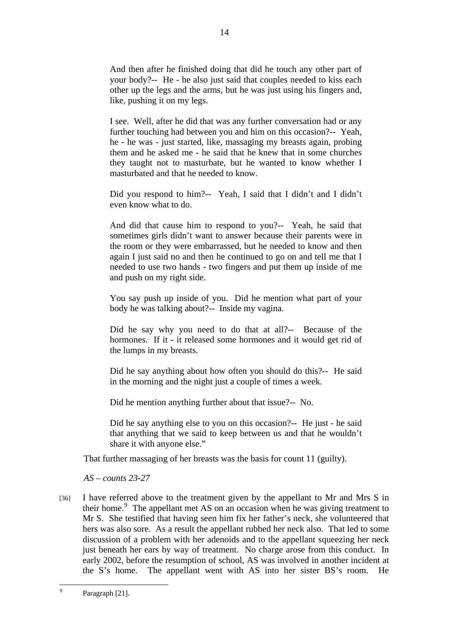And then after he finished doing that did he touch any other part of your body?-- He - he also just said that couples needed to kiss each other up the legs and the arms, but he was just using his fingers and, like, pushing it on my legs.

14

I see. Well, after he did that was any further conversation had or any further touching had between you and him on this occasion?-- Yeah, he - he was - just started, like, massaging my breasts again, probing them and he asked me - he said that he knew that in some churches they taught not to masturbate, but he wanted to know whether I masturbated and that he needed to know.

Did you respond to him?-- Yeah, I said that I didn't and I didn't even know what to do.

And did that cause him to respond to you?-- Yeah, he said that sometimes girls didn't want to answer because their parents were in the room or they were embarrassed, but he needed to know and then again I just said no and then he continued to go on and tell me that I needed to use two hands - two fingers and put them up inside of me and push on my right side.

You say push up inside of you. Did he mention what part of your body he was talking about?-- Inside my vagina.

Did he say why you need to do that at all?-- Because of the hormones. If it - it released some hormones and it would get rid of the lumps in my breasts.

Did he say anything about how often you should do this?-- He said in the morning and the night just a couple of times a week.

Did he mention anything further about that issue?-- No.

Did he say anything else to you on this occasion?-- He just - he said that anything that we said to keep between us and that he wouldn't share it with anyone else."

That further massaging of her breasts was the basis for count 11 (guilty).

*AS – counts 23-27* 

[36] I have referred above to the treatment given by the appellant to Mr and Mrs S in their home.<sup>9</sup> The appellant met AS on an occasion when he was giving treatment to Mr S. She testified that having seen him fix her father's neck, she volunteered that hers was also sore. As a result the appellant rubbed her neck also. That led to some discussion of a problem with her adenoids and to the appellant squeezing her neck just beneath her ears by way of treatment. No charge arose from this conduct. In early 2002, before the resumption of school, AS was involved in another incident at the S's home. The appellant went with AS into her sister BS's room. He

<sup>-&</sup>lt;br>9 Paragraph [21].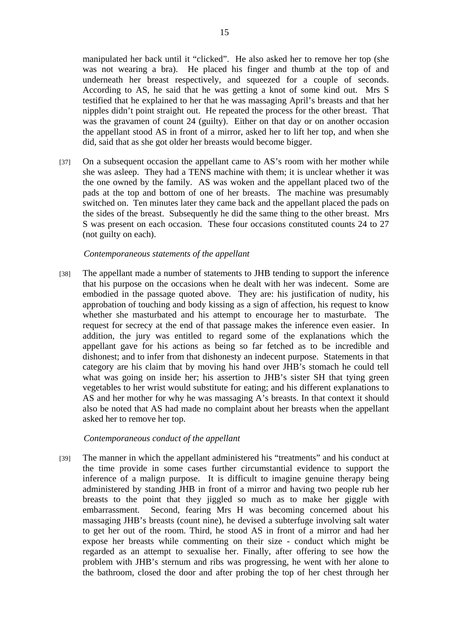manipulated her back until it "clicked". He also asked her to remove her top (she was not wearing a bra). He placed his finger and thumb at the top of and underneath her breast respectively, and squeezed for a couple of seconds. According to AS, he said that he was getting a knot of some kind out. Mrs S testified that he explained to her that he was massaging April's breasts and that her nipples didn't point straight out. He repeated the process for the other breast. That was the gravamen of count 24 (guilty). Either on that day or on another occasion the appellant stood AS in front of a mirror, asked her to lift her top, and when she did, said that as she got older her breasts would become bigger.

[37] On a subsequent occasion the appellant came to AS's room with her mother while she was asleep. They had a TENS machine with them; it is unclear whether it was the one owned by the family. AS was woken and the appellant placed two of the pads at the top and bottom of one of her breasts. The machine was presumably switched on. Ten minutes later they came back and the appellant placed the pads on the sides of the breast. Subsequently he did the same thing to the other breast. Mrs S was present on each occasion. These four occasions constituted counts 24 to 27 (not guilty on each).

## *Contemporaneous statements of the appellant*

[38] The appellant made a number of statements to JHB tending to support the inference that his purpose on the occasions when he dealt with her was indecent. Some are embodied in the passage quoted above. They are: his justification of nudity, his approbation of touching and body kissing as a sign of affection, his request to know whether she masturbated and his attempt to encourage her to masturbate. The request for secrecy at the end of that passage makes the inference even easier. In addition, the jury was entitled to regard some of the explanations which the appellant gave for his actions as being so far fetched as to be incredible and dishonest; and to infer from that dishonesty an indecent purpose. Statements in that category are his claim that by moving his hand over JHB's stomach he could tell what was going on inside her; his assertion to JHB's sister SH that tying green vegetables to her wrist would substitute for eating; and his different explanations to AS and her mother for why he was massaging A's breasts. In that context it should also be noted that AS had made no complaint about her breasts when the appellant asked her to remove her top.

## *Contemporaneous conduct of the appellant*

[39] The manner in which the appellant administered his "treatments" and his conduct at the time provide in some cases further circumstantial evidence to support the inference of a malign purpose. It is difficult to imagine genuine therapy being administered by standing JHB in front of a mirror and having two people rub her breasts to the point that they jiggled so much as to make her giggle with embarrassment. Second, fearing Mrs H was becoming concerned about his massaging JHB's breasts (count nine), he devised a subterfuge involving salt water to get her out of the room. Third, he stood AS in front of a mirror and had her expose her breasts while commenting on their size - conduct which might be regarded as an attempt to sexualise her. Finally, after offering to see how the problem with JHB's sternum and ribs was progressing, he went with her alone to the bathroom, closed the door and after probing the top of her chest through her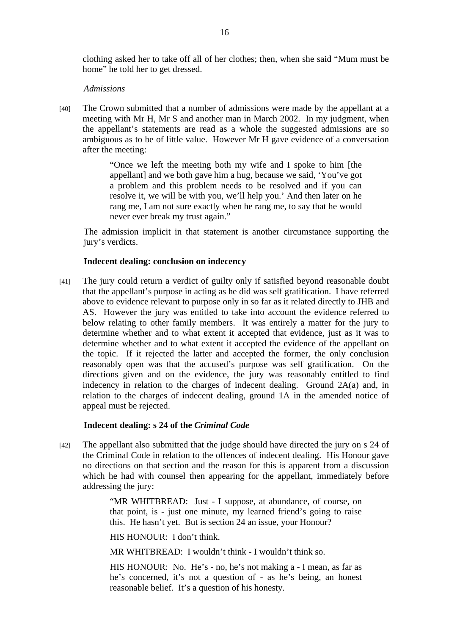clothing asked her to take off all of her clothes; then, when she said "Mum must be home" he told her to get dressed.

#### *Admissions*

[40] The Crown submitted that a number of admissions were made by the appellant at a meeting with Mr H, Mr S and another man in March 2002. In my judgment, when the appellant's statements are read as a whole the suggested admissions are so ambiguous as to be of little value. However Mr H gave evidence of a conversation after the meeting:

> "Once we left the meeting both my wife and I spoke to him [the appellant] and we both gave him a hug, because we said, 'You've got a problem and this problem needs to be resolved and if you can resolve it, we will be with you, we'll help you.' And then later on he rang me, I am not sure exactly when he rang me, to say that he would never ever break my trust again."

The admission implicit in that statement is another circumstance supporting the jury's verdicts.

#### **Indecent dealing: conclusion on indecency**

[41] The jury could return a verdict of guilty only if satisfied beyond reasonable doubt that the appellant's purpose in acting as he did was self gratification. I have referred above to evidence relevant to purpose only in so far as it related directly to JHB and AS. However the jury was entitled to take into account the evidence referred to below relating to other family members. It was entirely a matter for the jury to determine whether and to what extent it accepted that evidence, just as it was to determine whether and to what extent it accepted the evidence of the appellant on the topic. If it rejected the latter and accepted the former, the only conclusion reasonably open was that the accused's purpose was self gratification. On the directions given and on the evidence, the jury was reasonably entitled to find indecency in relation to the charges of indecent dealing. Ground 2A(a) and, in relation to the charges of indecent dealing, ground 1A in the amended notice of appeal must be rejected.

#### **Indecent dealing: s 24 of the** *Criminal Code*

[42] The appellant also submitted that the judge should have directed the jury on s 24 of the Criminal Code in relation to the offences of indecent dealing. His Honour gave no directions on that section and the reason for this is apparent from a discussion which he had with counsel then appearing for the appellant, immediately before addressing the jury:

> "MR WHITBREAD: Just - I suppose, at abundance, of course, on that point, is - just one minute, my learned friend's going to raise this. He hasn't yet. But is section 24 an issue, your Honour?

HIS HONOUR: I don't think.

MR WHITBREAD: I wouldn't think - I wouldn't think so.

HIS HONOUR: No. He's - no, he's not making a - I mean, as far as he's concerned, it's not a question of - as he's being, an honest reasonable belief. It's a question of his honesty.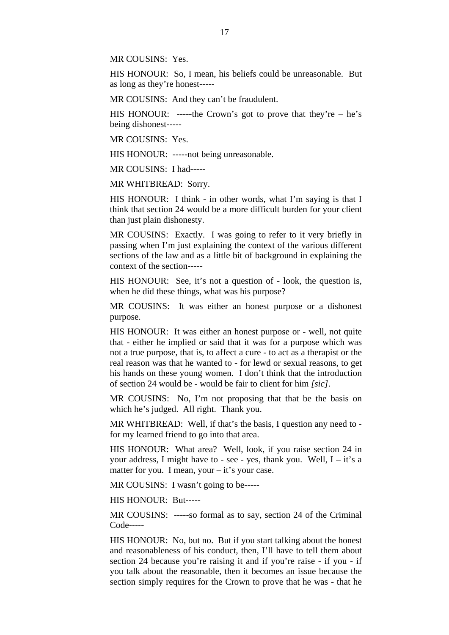MR COUSINS: Yes.

HIS HONOUR: So, I mean, his beliefs could be unreasonable. But as long as they're honest-----

MR COUSINS: And they can't be fraudulent.

HIS HONOUR: -----the Crown's got to prove that they're  $-$  he's being dishonest-----

MR COUSINS: Yes.

HIS HONOUR: -----not being unreasonable.

MR COUSINS: I had-----

MR WHITBREAD: Sorry.

HIS HONOUR: I think - in other words, what I'm saying is that I think that section 24 would be a more difficult burden for your client than just plain dishonesty.

MR COUSINS: Exactly. I was going to refer to it very briefly in passing when I'm just explaining the context of the various different sections of the law and as a little bit of background in explaining the context of the section-----

HIS HONOUR: See, it's not a question of - look, the question is, when he did these things, what was his purpose?

MR COUSINS: It was either an honest purpose or a dishonest purpose.

HIS HONOUR: It was either an honest purpose or - well, not quite that - either he implied or said that it was for a purpose which was not a true purpose, that is, to affect a cure - to act as a therapist or the real reason was that he wanted to - for lewd or sexual reasons, to get his hands on these young women. I don't think that the introduction of section 24 would be - would be fair to client for him *[sic]*.

MR COUSINS: No, I'm not proposing that that be the basis on which he's judged. All right. Thank you.

MR WHITBREAD: Well, if that's the basis, I question any need to for my learned friend to go into that area.

HIS HONOUR: What area? Well, look, if you raise section 24 in your address, I might have to - see - yes, thank you. Well,  $I - it's a$ matter for you. I mean, your – it's your case.

MR COUSINS: I wasn't going to be-----

HIS HONOUR: But-----

MR COUSINS: -----so formal as to say, section 24 of the Criminal Code-----

HIS HONOUR: No, but no. But if you start talking about the honest and reasonableness of his conduct, then, I'll have to tell them about section 24 because you're raising it and if you're raise - if you - if you talk about the reasonable, then it becomes an issue because the section simply requires for the Crown to prove that he was - that he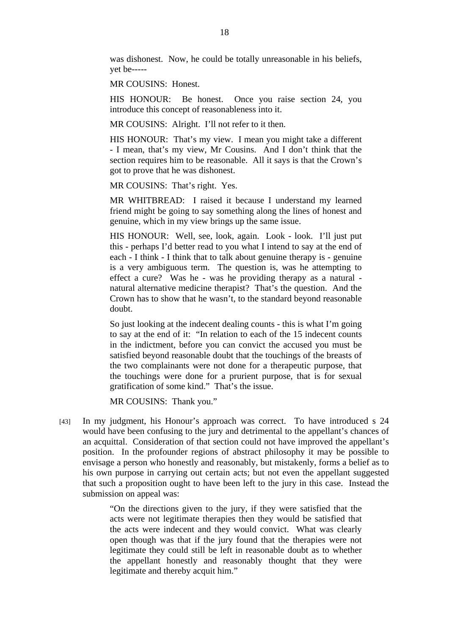was dishonest. Now, he could be totally unreasonable in his beliefs, yet be-----

MR COUSINS: Honest.

HIS HONOUR: Be honest. Once you raise section 24, you introduce this concept of reasonableness into it.

MR COUSINS: Alright. I'll not refer to it then.

HIS HONOUR: That's my view. I mean you might take a different - I mean, that's my view, Mr Cousins. And I don't think that the section requires him to be reasonable. All it says is that the Crown's got to prove that he was dishonest.

MR COUSINS: That's right. Yes.

MR WHITBREAD: I raised it because I understand my learned friend might be going to say something along the lines of honest and genuine, which in my view brings up the same issue.

HIS HONOUR: Well, see, look, again. Look - look. I'll just put this - perhaps I'd better read to you what I intend to say at the end of each - I think - I think that to talk about genuine therapy is - genuine is a very ambiguous term. The question is, was he attempting to effect a cure? Was he - was he providing therapy as a natural natural alternative medicine therapist? That's the question. And the Crown has to show that he wasn't, to the standard beyond reasonable doubt.

So just looking at the indecent dealing counts - this is what I'm going to say at the end of it: "In relation to each of the 15 indecent counts in the indictment, before you can convict the accused you must be satisfied beyond reasonable doubt that the touchings of the breasts of the two complainants were not done for a therapeutic purpose, that the touchings were done for a prurient purpose, that is for sexual gratification of some kind." That's the issue.

MR COUSINS: Thank you."

[43] In my judgment, his Honour's approach was correct. To have introduced s 24 would have been confusing to the jury and detrimental to the appellant's chances of an acquittal. Consideration of that section could not have improved the appellant's position. In the profounder regions of abstract philosophy it may be possible to envisage a person who honestly and reasonably, but mistakenly, forms a belief as to his own purpose in carrying out certain acts; but not even the appellant suggested that such a proposition ought to have been left to the jury in this case. Instead the submission on appeal was:

> "On the directions given to the jury, if they were satisfied that the acts were not legitimate therapies then they would be satisfied that the acts were indecent and they would convict. What was clearly open though was that if the jury found that the therapies were not legitimate they could still be left in reasonable doubt as to whether the appellant honestly and reasonably thought that they were legitimate and thereby acquit him."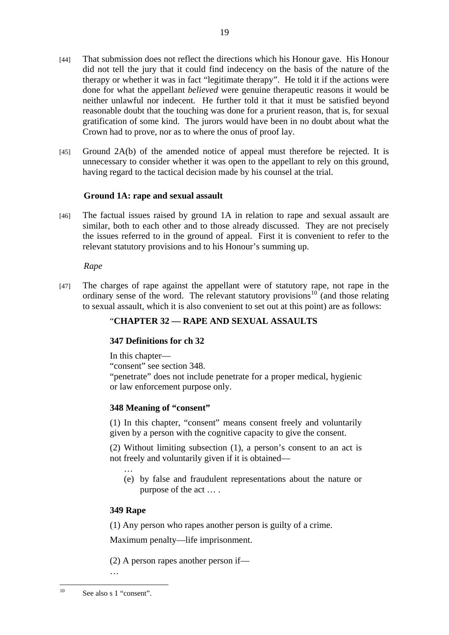19

- [44] That submission does not reflect the directions which his Honour gave. His Honour did not tell the jury that it could find indecency on the basis of the nature of the therapy or whether it was in fact "legitimate therapy". He told it if the actions were done for what the appellant *believed* were genuine therapeutic reasons it would be neither unlawful nor indecent. He further told it that it must be satisfied beyond reasonable doubt that the touching was done for a prurient reason, that is, for sexual gratification of some kind. The jurors would have been in no doubt about what the Crown had to prove, nor as to where the onus of proof lay.
- [45] Ground 2A(b) of the amended notice of appeal must therefore be rejected. It is unnecessary to consider whether it was open to the appellant to rely on this ground, having regard to the tactical decision made by his counsel at the trial.

# **Ground 1A: rape and sexual assault**

[46] The factual issues raised by ground 1A in relation to rape and sexual assault are similar, both to each other and to those already discussed. They are not precisely the issues referred to in the ground of appeal. First it is convenient to refer to the relevant statutory provisions and to his Honour's summing up.

*Rape* 

[47] The charges of rape against the appellant were of statutory rape, not rape in the ordinary sense of the word. The relevant statutory provisions $10^{\circ}$  (and those relating to sexual assault, which it is also convenient to set out at this point) are as follows:

# "**CHAPTER 32 — RAPE AND SEXUAL ASSAULTS**

# **347 Definitions for ch 32**

In this chapter—

"consent" see section 348.

"penetrate" does not include penetrate for a proper medical, hygienic or law enforcement purpose only.

# **348 Meaning of "consent"**

(1) In this chapter, "consent" means consent freely and voluntarily given by a person with the cognitive capacity to give the consent.

(2) Without limiting subsection (1), a person's consent to an act is not freely and voluntarily given if it is obtained—

… (e) by false and fraudulent representations about the nature or purpose of the act … .

# **349 Rape**

(1) Any person who rapes another person is guilty of a crime.

Maximum penalty—life imprisonment.

(2) A person rapes another person if—

…

 $10$ See also s 1 "consent".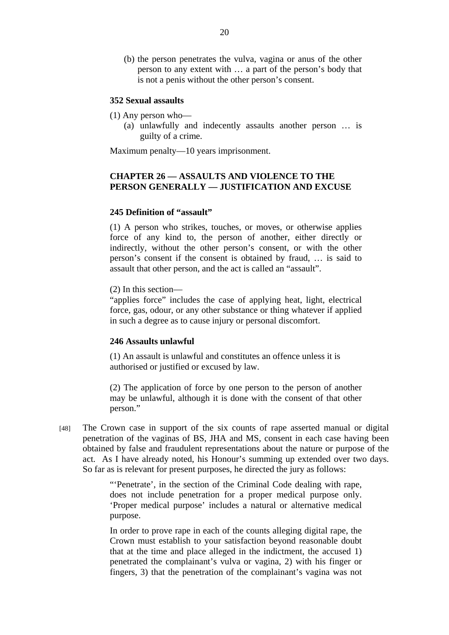(b) the person penetrates the vulva, vagina or anus of the other person to any extent with … a part of the person's body that is not a penis without the other person's consent.

## **352 Sexual assaults**

- (1) Any person who—
	- (a) unlawfully and indecently assaults another person … is guilty of a crime.

Maximum penalty—10 years imprisonment.

# **CHAPTER 26 — ASSAULTS AND VIOLENCE TO THE PERSON GENERALLY — JUSTIFICATION AND EXCUSE**

## **245 Definition of "assault"**

(1) A person who strikes, touches, or moves, or otherwise applies force of any kind to, the person of another, either directly or indirectly, without the other person's consent, or with the other person's consent if the consent is obtained by fraud, … is said to assault that other person, and the act is called an "assault".

(2) In this section—

"applies force" includes the case of applying heat, light, electrical force, gas, odour, or any other substance or thing whatever if applied in such a degree as to cause injury or personal discomfort.

#### **246 Assaults unlawful**

(1) An assault is unlawful and constitutes an offence unless it is authorised or justified or excused by law.

(2) The application of force by one person to the person of another may be unlawful, although it is done with the consent of that other person."

[48] The Crown case in support of the six counts of rape asserted manual or digital penetration of the vaginas of BS, JHA and MS, consent in each case having been obtained by false and fraudulent representations about the nature or purpose of the act. As I have already noted, his Honour's summing up extended over two days. So far as is relevant for present purposes, he directed the jury as follows:

> "'Penetrate', in the section of the Criminal Code dealing with rape, does not include penetration for a proper medical purpose only. 'Proper medical purpose' includes a natural or alternative medical purpose.

> In order to prove rape in each of the counts alleging digital rape, the Crown must establish to your satisfaction beyond reasonable doubt that at the time and place alleged in the indictment, the accused 1) penetrated the complainant's vulva or vagina, 2) with his finger or fingers, 3) that the penetration of the complainant's vagina was not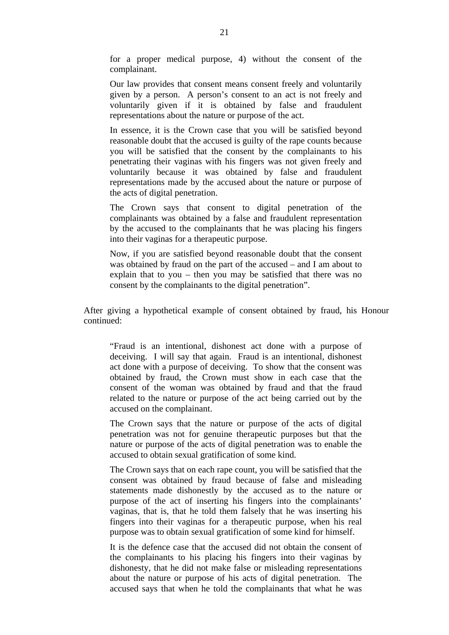for a proper medical purpose, 4) without the consent of the complainant.

Our law provides that consent means consent freely and voluntarily given by a person. A person's consent to an act is not freely and voluntarily given if it is obtained by false and fraudulent representations about the nature or purpose of the act.

In essence, it is the Crown case that you will be satisfied beyond reasonable doubt that the accused is guilty of the rape counts because you will be satisfied that the consent by the complainants to his penetrating their vaginas with his fingers was not given freely and voluntarily because it was obtained by false and fraudulent representations made by the accused about the nature or purpose of the acts of digital penetration.

The Crown says that consent to digital penetration of the complainants was obtained by a false and fraudulent representation by the accused to the complainants that he was placing his fingers into their vaginas for a therapeutic purpose.

Now, if you are satisfied beyond reasonable doubt that the consent was obtained by fraud on the part of the accused – and I am about to explain that to you – then you may be satisfied that there was no consent by the complainants to the digital penetration".

After giving a hypothetical example of consent obtained by fraud, his Honour continued:

"Fraud is an intentional, dishonest act done with a purpose of deceiving. I will say that again. Fraud is an intentional, dishonest act done with a purpose of deceiving. To show that the consent was obtained by fraud, the Crown must show in each case that the consent of the woman was obtained by fraud and that the fraud related to the nature or purpose of the act being carried out by the accused on the complainant.

The Crown says that the nature or purpose of the acts of digital penetration was not for genuine therapeutic purposes but that the nature or purpose of the acts of digital penetration was to enable the accused to obtain sexual gratification of some kind.

The Crown says that on each rape count, you will be satisfied that the consent was obtained by fraud because of false and misleading statements made dishonestly by the accused as to the nature or purpose of the act of inserting his fingers into the complainants' vaginas, that is, that he told them falsely that he was inserting his fingers into their vaginas for a therapeutic purpose, when his real purpose was to obtain sexual gratification of some kind for himself.

It is the defence case that the accused did not obtain the consent of the complainants to his placing his fingers into their vaginas by dishonesty, that he did not make false or misleading representations about the nature or purpose of his acts of digital penetration. The accused says that when he told the complainants that what he was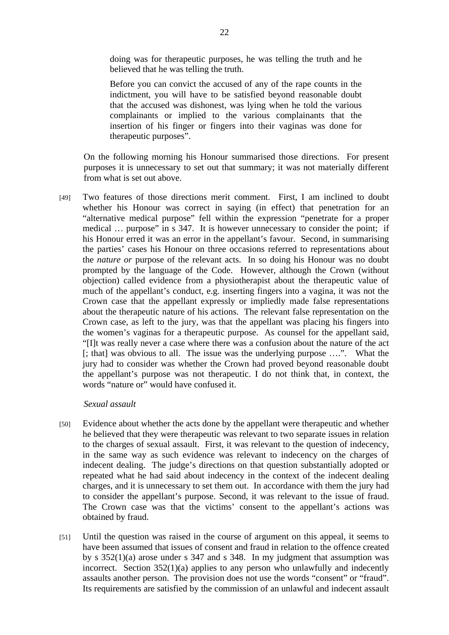doing was for therapeutic purposes, he was telling the truth and he believed that he was telling the truth.

Before you can convict the accused of any of the rape counts in the indictment, you will have to be satisfied beyond reasonable doubt that the accused was dishonest, was lying when he told the various complainants or implied to the various complainants that the insertion of his finger or fingers into their vaginas was done for therapeutic purposes".

On the following morning his Honour summarised those directions. For present purposes it is unnecessary to set out that summary; it was not materially different from what is set out above.

[49] Two features of those directions merit comment. First, I am inclined to doubt whether his Honour was correct in saying (in effect) that penetration for an "alternative medical purpose" fell within the expression "penetrate for a proper medical … purpose" in s 347. It is however unnecessary to consider the point; if his Honour erred it was an error in the appellant's favour. Second, in summarising the parties' cases his Honour on three occasions referred to representations about the *nature or* purpose of the relevant acts. In so doing his Honour was no doubt prompted by the language of the Code. However, although the Crown (without objection) called evidence from a physiotherapist about the therapeutic value of much of the appellant's conduct, e.g. inserting fingers into a vagina, it was not the Crown case that the appellant expressly or impliedly made false representations about the therapeutic nature of his actions. The relevant false representation on the Crown case, as left to the jury, was that the appellant was placing his fingers into the women's vaginas for a therapeutic purpose. As counsel for the appellant said, "[I]t was really never a case where there was a confusion about the nature of the act [; that] was obvious to all. The issue was the underlying purpose ….". What the jury had to consider was whether the Crown had proved beyond reasonable doubt the appellant's purpose was not therapeutic. I do not think that, in context, the words "nature or" would have confused it.

#### *Sexual assault*

- [50] Evidence about whether the acts done by the appellant were therapeutic and whether he believed that they were therapeutic was relevant to two separate issues in relation to the charges of sexual assault. First, it was relevant to the question of indecency, in the same way as such evidence was relevant to indecency on the charges of indecent dealing. The judge's directions on that question substantially adopted or repeated what he had said about indecency in the context of the indecent dealing charges, and it is unnecessary to set them out. In accordance with them the jury had to consider the appellant's purpose. Second, it was relevant to the issue of fraud. The Crown case was that the victims' consent to the appellant's actions was obtained by fraud.
- [51] Until the question was raised in the course of argument on this appeal, it seems to have been assumed that issues of consent and fraud in relation to the offence created by s  $352(1)(a)$  arose under s 347 and s 348. In my judgment that assumption was incorrect. Section 352(1)(a) applies to any person who unlawfully and indecently assaults another person. The provision does not use the words "consent" or "fraud". Its requirements are satisfied by the commission of an unlawful and indecent assault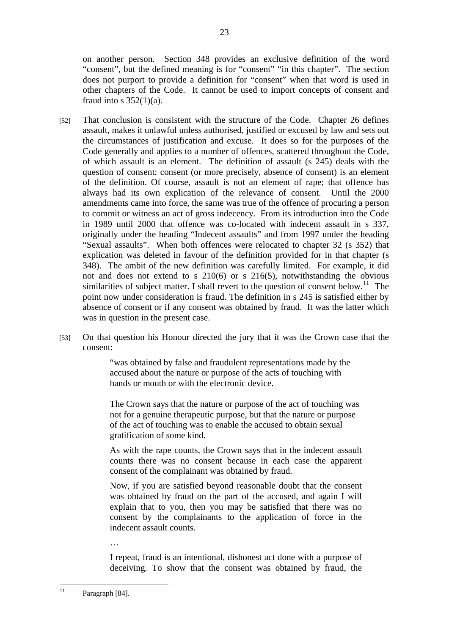on another person. Section 348 provides an exclusive definition of the word "consent", but the defined meaning is for "consent" "in this chapter". The section does not purport to provide a definition for "consent" when that word is used in other chapters of the Code. It cannot be used to import concepts of consent and fraud into s  $352(1)(a)$ .

- [52] That conclusion is consistent with the structure of the Code. Chapter 26 defines assault, makes it unlawful unless authorised, justified or excused by law and sets out the circumstances of justification and excuse. It does so for the purposes of the Code generally and applies to a number of offences, scattered throughout the Code, of which assault is an element. The definition of assault (s 245) deals with the question of consent: consent (or more precisely, absence of consent) is an element of the definition. Of course, assault is not an element of rape; that offence has always had its own explication of the relevance of consent. Until the 2000 amendments came into force, the same was true of the offence of procuring a person to commit or witness an act of gross indecency. From its introduction into the Code in 1989 until 2000 that offence was co-located with indecent assault in s 337, originally under the heading "Indecent assaults" and from 1997 under the heading "Sexual assaults". When both offences were relocated to chapter 32 (s 352) that explication was deleted in favour of the definition provided for in that chapter (s 348). The ambit of the new definition was carefully limited. For example, it did not and does not extend to s 210(6) or s 216(5), notwithstanding the obvious similarities of subject matter. I shall revert to the question of consent below.<sup>11</sup> The point now under consideration is fraud. The definition in s 245 is satisfied either by absence of consent or if any consent was obtained by fraud. It was the latter which was in question in the present case.
- [53] On that question his Honour directed the jury that it was the Crown case that the consent:

"was obtained by false and fraudulent representations made by the accused about the nature or purpose of the acts of touching with hands or mouth or with the electronic device.

The Crown says that the nature or purpose of the act of touching was not for a genuine therapeutic purpose, but that the nature or purpose of the act of touching was to enable the accused to obtain sexual gratification of some kind.

As with the rape counts, the Crown says that in the indecent assault counts there was no consent because in each case the apparent consent of the complainant was obtained by fraud.

Now, if you are satisfied beyond reasonable doubt that the consent was obtained by fraud on the part of the accused, and again I will explain that to you, then you may be satisfied that there was no consent by the complainants to the application of force in the indecent assault counts.

I repeat, fraud is an intentional, dishonest act done with a purpose of deceiving. To show that the consent was obtained by fraud, the

…

 $11$ Paragraph [84].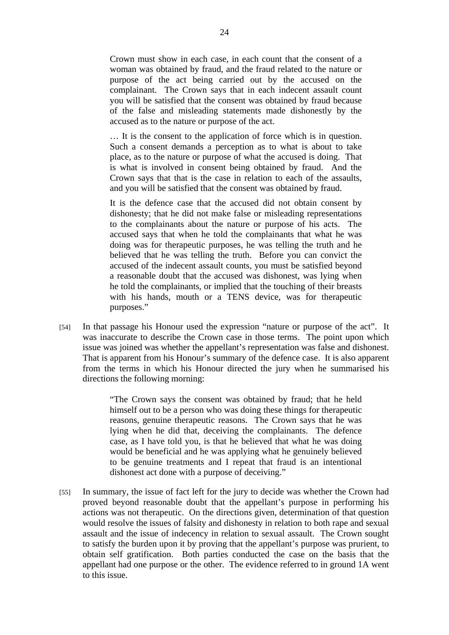Crown must show in each case, in each count that the consent of a woman was obtained by fraud, and the fraud related to the nature or purpose of the act being carried out by the accused on the complainant. The Crown says that in each indecent assault count you will be satisfied that the consent was obtained by fraud because of the false and misleading statements made dishonestly by the accused as to the nature or purpose of the act.

… It is the consent to the application of force which is in question. Such a consent demands a perception as to what is about to take place, as to the nature or purpose of what the accused is doing. That is what is involved in consent being obtained by fraud. And the Crown says that that is the case in relation to each of the assaults, and you will be satisfied that the consent was obtained by fraud.

It is the defence case that the accused did not obtain consent by dishonesty; that he did not make false or misleading representations to the complainants about the nature or purpose of his acts. The accused says that when he told the complainants that what he was doing was for therapeutic purposes, he was telling the truth and he believed that he was telling the truth. Before you can convict the accused of the indecent assault counts, you must be satisfied beyond a reasonable doubt that the accused was dishonest, was lying when he told the complainants, or implied that the touching of their breasts with his hands, mouth or a TENS device, was for therapeutic purposes."

[54] In that passage his Honour used the expression "nature or purpose of the act". It was inaccurate to describe the Crown case in those terms. The point upon which issue was joined was whether the appellant's representation was false and dishonest. That is apparent from his Honour's summary of the defence case. It is also apparent from the terms in which his Honour directed the jury when he summarised his directions the following morning:

> "The Crown says the consent was obtained by fraud; that he held himself out to be a person who was doing these things for therapeutic reasons, genuine therapeutic reasons. The Crown says that he was lying when he did that, deceiving the complainants. The defence case, as I have told you, is that he believed that what he was doing would be beneficial and he was applying what he genuinely believed to be genuine treatments and I repeat that fraud is an intentional dishonest act done with a purpose of deceiving."

[55] In summary, the issue of fact left for the jury to decide was whether the Crown had proved beyond reasonable doubt that the appellant's purpose in performing his actions was not therapeutic. On the directions given, determination of that question would resolve the issues of falsity and dishonesty in relation to both rape and sexual assault and the issue of indecency in relation to sexual assault. The Crown sought to satisfy the burden upon it by proving that the appellant's purpose was prurient, to obtain self gratification. Both parties conducted the case on the basis that the appellant had one purpose or the other. The evidence referred to in ground 1A went to this issue.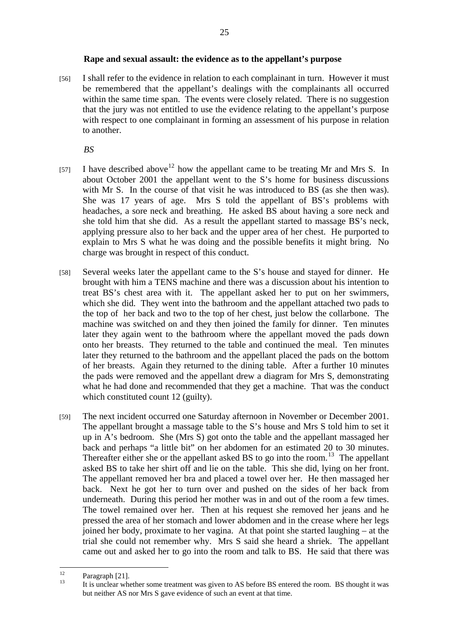[56] I shall refer to the evidence in relation to each complainant in turn. However it must be remembered that the appellant's dealings with the complainants all occurred within the same time span. The events were closely related. There is no suggestion that the jury was not entitled to use the evidence relating to the appellant's purpose with respect to one complainant in forming an assessment of his purpose in relation to another.

*BS* 

- [57] I have described above<sup>12</sup> how the appellant came to be treating Mr and Mrs S. In about October 2001 the appellant went to the S's home for business discussions with Mr S. In the course of that visit he was introduced to BS (as she then was). She was 17 years of age. Mrs S told the appellant of BS's problems with headaches, a sore neck and breathing. He asked BS about having a sore neck and she told him that she did. As a result the appellant started to massage BS's neck, applying pressure also to her back and the upper area of her chest. He purported to explain to Mrs S what he was doing and the possible benefits it might bring. No charge was brought in respect of this conduct.
- [58] Several weeks later the appellant came to the S's house and stayed for dinner. He brought with him a TENS machine and there was a discussion about his intention to treat BS's chest area with it. The appellant asked her to put on her swimmers, which she did. They went into the bathroom and the appellant attached two pads to the top of her back and two to the top of her chest, just below the collarbone. The machine was switched on and they then joined the family for dinner. Ten minutes later they again went to the bathroom where the appellant moved the pads down onto her breasts. They returned to the table and continued the meal. Ten minutes later they returned to the bathroom and the appellant placed the pads on the bottom of her breasts. Again they returned to the dining table. After a further 10 minutes the pads were removed and the appellant drew a diagram for Mrs S, demonstrating what he had done and recommended that they get a machine. That was the conduct which constituted count 12 (guilty).
- [59] The next incident occurred one Saturday afternoon in November or December 2001. The appellant brought a massage table to the S's house and Mrs S told him to set it up in A's bedroom. She (Mrs S) got onto the table and the appellant massaged her back and perhaps "a little bit" on her abdomen for an estimated 20 to 30 minutes. Thereafter either she or the appellant asked BS to go into the room.<sup>13</sup> The appellant asked BS to take her shirt off and lie on the table. This she did, lying on her front. The appellant removed her bra and placed a towel over her. He then massaged her back. Next he got her to turn over and pushed on the sides of her back from underneath. During this period her mother was in and out of the room a few times. The towel remained over her. Then at his request she removed her jeans and he pressed the area of her stomach and lower abdomen and in the crease where her legs joined her body, proximate to her vagina. At that point she started laughing – at the trial she could not remember why. Mrs S said she heard a shriek. The appellant came out and asked her to go into the room and talk to BS. He said that there was

 $12$  $\frac{12}{13}$  Paragraph [21].

<sup>13</sup> It is unclear whether some treatment was given to AS before BS entered the room. BS thought it was but neither AS nor Mrs S gave evidence of such an event at that time.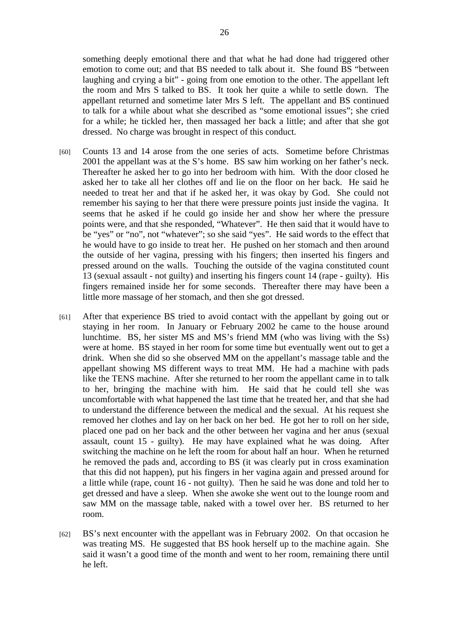something deeply emotional there and that what he had done had triggered other emotion to come out; and that BS needed to talk about it. She found BS "between laughing and crying a bit" - going from one emotion to the other. The appellant left the room and Mrs S talked to BS. It took her quite a while to settle down. The appellant returned and sometime later Mrs S left. The appellant and BS continued to talk for a while about what she described as "some emotional issues"; she cried for a while; he tickled her, then massaged her back a little; and after that she got dressed. No charge was brought in respect of this conduct.

- [60] Counts 13 and 14 arose from the one series of acts. Sometime before Christmas 2001 the appellant was at the S's home. BS saw him working on her father's neck. Thereafter he asked her to go into her bedroom with him. With the door closed he asked her to take all her clothes off and lie on the floor on her back. He said he needed to treat her and that if he asked her, it was okay by God. She could not remember his saying to her that there were pressure points just inside the vagina. It seems that he asked if he could go inside her and show her where the pressure points were, and that she responded, "Whatever". He then said that it would have to be "yes" or "no", not "whatever"; so she said "yes". He said words to the effect that he would have to go inside to treat her. He pushed on her stomach and then around the outside of her vagina, pressing with his fingers; then inserted his fingers and pressed around on the walls. Touching the outside of the vagina constituted count 13 (sexual assault - not guilty) and inserting his fingers count 14 (rape - guilty). His fingers remained inside her for some seconds. Thereafter there may have been a little more massage of her stomach, and then she got dressed.
- [61] After that experience BS tried to avoid contact with the appellant by going out or staying in her room. In January or February 2002 he came to the house around lunchtime. BS, her sister MS and MS's friend MM (who was living with the Ss) were at home. BS stayed in her room for some time but eventually went out to get a drink. When she did so she observed MM on the appellant's massage table and the appellant showing MS different ways to treat MM. He had a machine with pads like the TENS machine. After she returned to her room the appellant came in to talk to her, bringing the machine with him. He said that he could tell she was uncomfortable with what happened the last time that he treated her, and that she had to understand the difference between the medical and the sexual. At his request she removed her clothes and lay on her back on her bed. He got her to roll on her side, placed one pad on her back and the other between her vagina and her anus (sexual assault, count 15 - guilty). He may have explained what he was doing. After switching the machine on he left the room for about half an hour. When he returned he removed the pads and, according to BS (it was clearly put in cross examination that this did not happen), put his fingers in her vagina again and pressed around for a little while (rape, count 16 - not guilty). Then he said he was done and told her to get dressed and have a sleep. When she awoke she went out to the lounge room and saw MM on the massage table, naked with a towel over her. BS returned to her room.
- [62] BS's next encounter with the appellant was in February 2002. On that occasion he was treating MS. He suggested that BS hook herself up to the machine again. She said it wasn't a good time of the month and went to her room, remaining there until he left.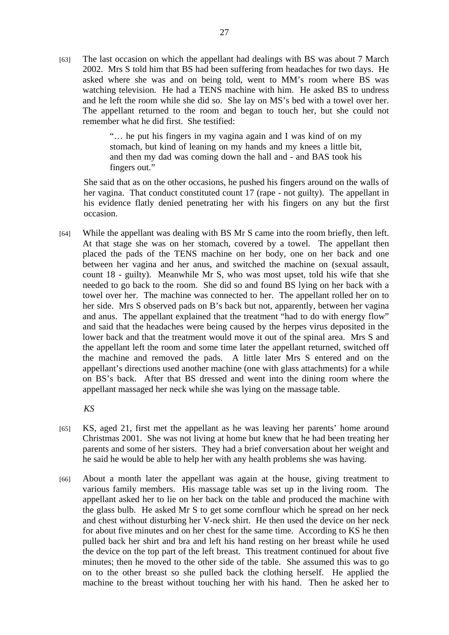[63] The last occasion on which the appellant had dealings with BS was about 7 March 2002. Mrs S told him that BS had been suffering from headaches for two days. He asked where she was and on being told, went to MM's room where BS was watching television. He had a TENS machine with him. He asked BS to undress and he left the room while she did so. She lay on MS's bed with a towel over her. The appellant returned to the room and began to touch her, but she could not remember what he did first. She testified:

> "… he put his fingers in my vagina again and I was kind of on my stomach, but kind of leaning on my hands and my knees a little bit, and then my dad was coming down the hall and - and BAS took his fingers out."

She said that as on the other occasions, he pushed his fingers around on the walls of her vagina. That conduct constituted count 17 (rape - not guilty). The appellant in his evidence flatly denied penetrating her with his fingers on any but the first occasion.

[64] While the appellant was dealing with BS Mr S came into the room briefly, then left. At that stage she was on her stomach, covered by a towel. The appellant then placed the pads of the TENS machine on her body, one on her back and one between her vagina and her anus, and switched the machine on (sexual assault, count 18 - guilty). Meanwhile Mr S, who was most upset, told his wife that she needed to go back to the room. She did so and found BS lying on her back with a towel over her. The machine was connected to her. The appellant rolled her on to her side. Mrs S observed pads on B's back but not, apparently, between her vagina and anus. The appellant explained that the treatment "had to do with energy flow" and said that the headaches were being caused by the herpes virus deposited in the lower back and that the treatment would move it out of the spinal area. Mrs S and the appellant left the room and some time later the appellant returned, switched off the machine and removed the pads. A little later Mrs S entered and on the appellant's directions used another machine (one with glass attachments) for a while on BS's back. After that BS dressed and went into the dining room where the appellant massaged her neck while she was lying on the massage table.

*KS* 

- [65] KS, aged 21, first met the appellant as he was leaving her parents' home around Christmas 2001. She was not living at home but knew that he had been treating her parents and some of her sisters. They had a brief conversation about her weight and he said he would be able to help her with any health problems she was having.
- [66] About a month later the appellant was again at the house, giving treatment to various family members. His massage table was set up in the living room. The appellant asked her to lie on her back on the table and produced the machine with the glass bulb. He asked Mr S to get some cornflour which he spread on her neck and chest without disturbing her V-neck shirt. He then used the device on her neck for about five minutes and on her chest for the same time. According to KS he then pulled back her shirt and bra and left his hand resting on her breast while he used the device on the top part of the left breast. This treatment continued for about five minutes; then he moved to the other side of the table. She assumed this was to go on to the other breast so she pulled back the clothing herself. He applied the machine to the breast without touching her with his hand. Then he asked her to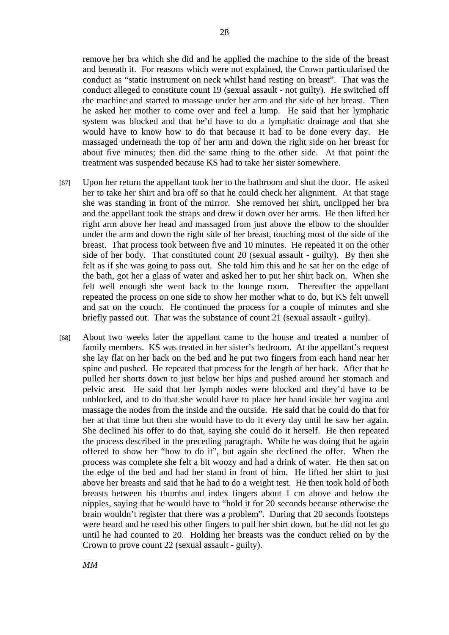remove her bra which she did and he applied the machine to the side of the breast and beneath it. For reasons which were not explained, the Crown particularised the conduct as "static instrument on neck whilst hand resting on breast". That was the conduct alleged to constitute count 19 (sexual assault - not guilty). He switched off the machine and started to massage under her arm and the side of her breast. Then he asked her mother to come over and feel a lump. He said that her lymphatic system was blocked and that he'd have to do a lymphatic drainage and that she would have to know how to do that because it had to be done every day. He massaged underneath the top of her arm and down the right side on her breast for about five minutes; then did the same thing to the other side. At that point the treatment was suspended because KS had to take her sister somewhere.

- [67] Upon her return the appellant took her to the bathroom and shut the door. He asked her to take her shirt and bra off so that he could check her alignment. At that stage she was standing in front of the mirror. She removed her shirt, unclipped her bra and the appellant took the straps and drew it down over her arms. He then lifted her right arm above her head and massaged from just above the elbow to the shoulder under the arm and down the right side of her breast, touching most of the side of the breast. That process took between five and 10 minutes. He repeated it on the other side of her body. That constituted count 20 (sexual assault - guilty). By then she felt as if she was going to pass out. She told him this and he sat her on the edge of the bath, got her a glass of water and asked her to put her shirt back on. When she felt well enough she went back to the lounge room. Thereafter the appellant repeated the process on one side to show her mother what to do, but KS felt unwell and sat on the couch. He continued the process for a couple of minutes and she briefly passed out. That was the substance of count 21 (sexual assault - guilty).
- [68] About two weeks later the appellant came to the house and treated a number of family members. KS was treated in her sister's bedroom. At the appellant's request she lay flat on her back on the bed and he put two fingers from each hand near her spine and pushed. He repeated that process for the length of her back. After that he pulled her shorts down to just below her hips and pushed around her stomach and pelvic area. He said that her lymph nodes were blocked and they'd have to be unblocked, and to do that she would have to place her hand inside her vagina and massage the nodes from the inside and the outside. He said that he could do that for her at that time but then she would have to do it every day until he saw her again. She declined his offer to do that, saying she could do it herself. He then repeated the process described in the preceding paragraph. While he was doing that he again offered to show her "how to do it", but again she declined the offer. When the process was complete she felt a bit woozy and had a drink of water. He then sat on the edge of the bed and had her stand in front of him. He lifted her shirt to just above her breasts and said that he had to do a weight test. He then took hold of both breasts between his thumbs and index fingers about 1 cm above and below the nipples, saying that he would have to "hold it for 20 seconds because otherwise the brain wouldn't register that there was a problem". During that 20 seconds footsteps were heard and he used his other fingers to pull her shirt down, but he did not let go until he had counted to 20. Holding her breasts was the conduct relied on by the Crown to prove count 22 (sexual assault - guilty).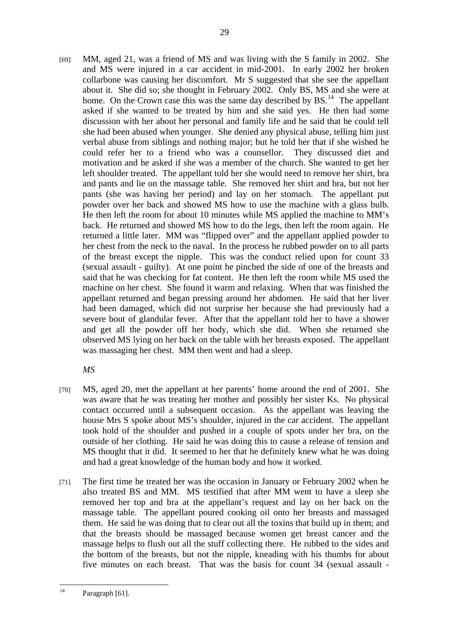[69] MM, aged 21, was a friend of MS and was living with the S family in 2002. She and MS were injured in a car accident in mid-2001. In early 2002 her broken collarbone was causing her discomfort. Mr S suggested that she see the appellant about it. She did so; she thought in February 2002. Only BS, MS and she were at home. On the Crown case this was the same day described by  $BS<sup>14</sup>$ . The appellant asked if she wanted to be treated by him and she said yes. He then had some discussion with her about her personal and family life and he said that he could tell she had been abused when younger. She denied any physical abuse, telling him just verbal abuse from siblings and nothing major; but he told her that if she wished he could refer her to a friend who was a counsellor. They discussed diet and motivation and he asked if she was a member of the church. She wanted to get her left shoulder treated. The appellant told her she would need to remove her shirt, bra and pants and lie on the massage table. She removed her shirt and bra, but not her pants (she was having her period) and lay on her stomach. The appellant put powder over her back and showed MS how to use the machine with a glass bulb. He then left the room for about 10 minutes while MS applied the machine to MM's back. He returned and showed MS how to do the legs, then left the room again. He returned a little later. MM was "flipped over" and the appellant applied powder to her chest from the neck to the naval. In the process he rubbed powder on to all parts of the breast except the nipple. This was the conduct relied upon for count 33 (sexual assault - guilty). At one point he pinched the side of one of the breasts and said that he was checking for fat content. He then left the room while MS used the machine on her chest. She found it warm and relaxing. When that was finished the appellant returned and began pressing around her abdomen. He said that her liver had been damaged, which did not surprise her because she had previously had a severe bout of glandular fever. After that the appellant told her to have a shower and get all the powder off her body, which she did. When she returned she observed MS lying on her back on the table with her breasts exposed. The appellant was massaging her chest. MM then went and had a sleep.

*MS* 

- [70] MS, aged 20, met the appellant at her parents' home around the end of 2001. She was aware that he was treating her mother and possibly her sister Ks. No physical contact occurred until a subsequent occasion. As the appellant was leaving the house Mrs S spoke about MS's shoulder, injured in the car accident. The appellant took hold of the shoulder and pushed in a couple of spots under her bra, on the outside of her clothing. He said he was doing this to cause a release of tension and MS thought that it did. It seemed to her that he definitely knew what he was doing and had a great knowledge of the human body and how it worked.
- [71] The first time he treated her was the occasion in January or February 2002 when he also treated BS and MM. MS testified that after MM went to have a sleep she removed her top and bra at the appellant's request and lay on her back on the massage table. The appellant poured cooking oil onto her breasts and massaged them. He said he was doing that to clear out all the toxins that build up in them; and that the breasts should be massaged because women get breast cancer and the massage helps to flush out all the stuff collecting there. He rubbed to the sides and the bottom of the breasts, but not the nipple, kneading with his thumbs for about five minutes on each breast. That was the basis for count 34 (sexual assault -

 $14$ Paragraph [61].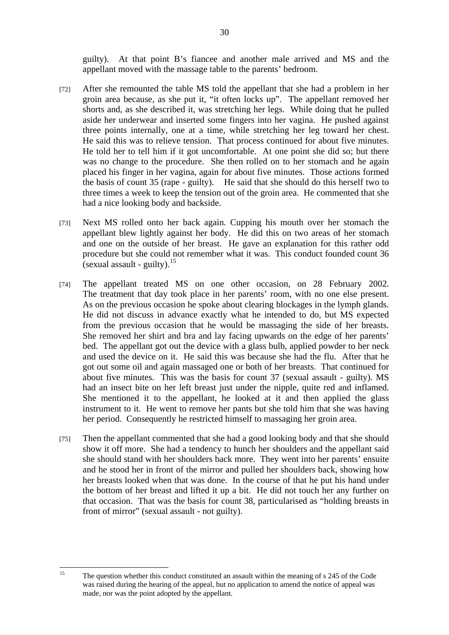guilty). At that point B's fiancee and another male arrived and MS and the appellant moved with the massage table to the parents' bedroom.

- [72] After she remounted the table MS told the appellant that she had a problem in her groin area because, as she put it, "it often locks up". The appellant removed her shorts and, as she described it, was stretching her legs. While doing that he pulled aside her underwear and inserted some fingers into her vagina. He pushed against three points internally, one at a time, while stretching her leg toward her chest. He said this was to relieve tension. That process continued for about five minutes. He told her to tell him if it got uncomfortable. At one point she did so; but there was no change to the procedure. She then rolled on to her stomach and he again placed his finger in her vagina, again for about five minutes. Those actions formed the basis of count 35 (rape - guilty). He said that she should do this herself two to three times a week to keep the tension out of the groin area. He commented that she had a nice looking body and backside.
- [73] Next MS rolled onto her back again. Cupping his mouth over her stomach the appellant blew lightly against her body. He did this on two areas of her stomach and one on the outside of her breast. He gave an explanation for this rather odd procedure but she could not remember what it was. This conduct founded count 36 (sexual assault - guilty). $15$
- [74] The appellant treated MS on one other occasion, on 28 February 2002. The treatment that day took place in her parents' room, with no one else present. As on the previous occasion he spoke about clearing blockages in the lymph glands. He did not discuss in advance exactly what he intended to do, but MS expected from the previous occasion that he would be massaging the side of her breasts. She removed her shirt and bra and lay facing upwards on the edge of her parents' bed. The appellant got out the device with a glass bulb, applied powder to her neck and used the device on it. He said this was because she had the flu. After that he got out some oil and again massaged one or both of her breasts. That continued for about five minutes. This was the basis for count 37 (sexual assault - guilty). MS had an insect bite on her left breast just under the nipple, quite red and inflamed. She mentioned it to the appellant, he looked at it and then applied the glass instrument to it. He went to remove her pants but she told him that she was having her period. Consequently he restricted himself to massaging her groin area.
- [75] Then the appellant commented that she had a good looking body and that she should show it off more. She had a tendency to hunch her shoulders and the appellant said she should stand with her shoulders back more. They went into her parents' ensuite and he stood her in front of the mirror and pulled her shoulders back, showing how her breasts looked when that was done. In the course of that he put his hand under the bottom of her breast and lifted it up a bit. He did not touch her any further on that occasion. That was the basis for count 38, particularised as "holding breasts in front of mirror" (sexual assault - not guilty).

 $15$ 15 The question whether this conduct constituted an assault within the meaning of s 245 of the Code was raised during the hearing of the appeal, but no application to amend the notice of appeal was made, nor was the point adopted by the appellant.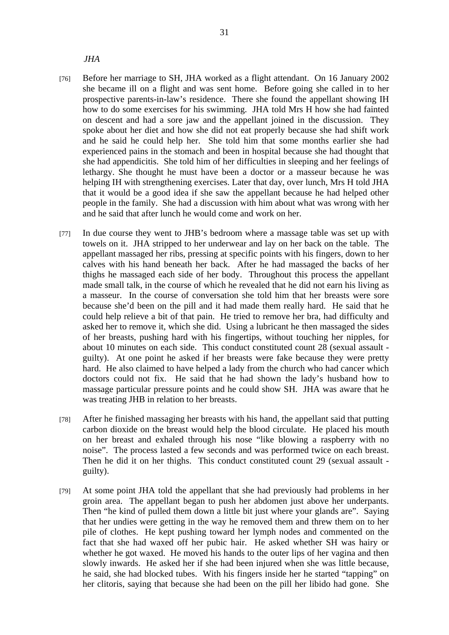*JHA* 

- [76] Before her marriage to SH, JHA worked as a flight attendant. On 16 January 2002 she became ill on a flight and was sent home. Before going she called in to her prospective parents-in-law's residence. There she found the appellant showing IH how to do some exercises for his swimming. JHA told Mrs H how she had fainted on descent and had a sore jaw and the appellant joined in the discussion. They spoke about her diet and how she did not eat properly because she had shift work and he said he could help her. She told him that some months earlier she had experienced pains in the stomach and been in hospital because she had thought that she had appendicitis. She told him of her difficulties in sleeping and her feelings of lethargy. She thought he must have been a doctor or a masseur because he was helping IH with strengthening exercises. Later that day, over lunch, Mrs H told JHA that it would be a good idea if she saw the appellant because he had helped other people in the family. She had a discussion with him about what was wrong with her and he said that after lunch he would come and work on her.
- [77] In due course they went to JHB's bedroom where a massage table was set up with towels on it. JHA stripped to her underwear and lay on her back on the table. The appellant massaged her ribs, pressing at specific points with his fingers, down to her calves with his hand beneath her back. After he had massaged the backs of her thighs he massaged each side of her body. Throughout this process the appellant made small talk, in the course of which he revealed that he did not earn his living as a masseur. In the course of conversation she told him that her breasts were sore because she'd been on the pill and it had made them really hard. He said that he could help relieve a bit of that pain. He tried to remove her bra, had difficulty and asked her to remove it, which she did. Using a lubricant he then massaged the sides of her breasts, pushing hard with his fingertips, without touching her nipples, for about 10 minutes on each side. This conduct constituted count 28 (sexual assault guilty). At one point he asked if her breasts were fake because they were pretty hard. He also claimed to have helped a lady from the church who had cancer which doctors could not fix. He said that he had shown the lady's husband how to massage particular pressure points and he could show SH. JHA was aware that he was treating JHB in relation to her breasts.
- [78] After he finished massaging her breasts with his hand, the appellant said that putting carbon dioxide on the breast would help the blood circulate. He placed his mouth on her breast and exhaled through his nose "like blowing a raspberry with no noise". The process lasted a few seconds and was performed twice on each breast. Then he did it on her thighs. This conduct constituted count 29 (sexual assault guilty).
- [79] At some point JHA told the appellant that she had previously had problems in her groin area. The appellant began to push her abdomen just above her underpants. Then "he kind of pulled them down a little bit just where your glands are". Saying that her undies were getting in the way he removed them and threw them on to her pile of clothes. He kept pushing toward her lymph nodes and commented on the fact that she had waxed off her pubic hair. He asked whether SH was hairy or whether he got waxed. He moved his hands to the outer lips of her vagina and then slowly inwards. He asked her if she had been injured when she was little because, he said, she had blocked tubes. With his fingers inside her he started "tapping" on her clitoris, saying that because she had been on the pill her libido had gone. She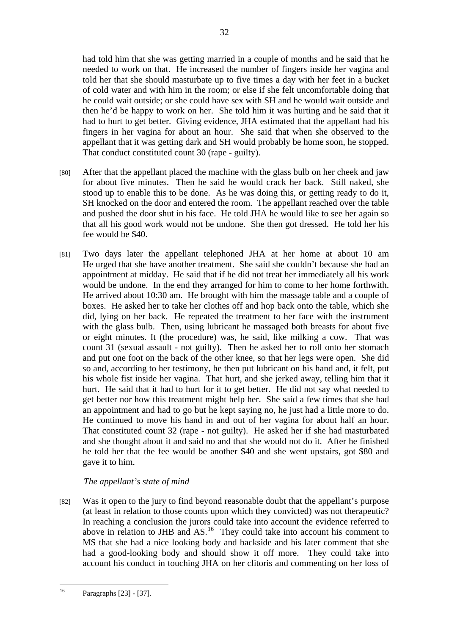had told him that she was getting married in a couple of months and he said that he needed to work on that. He increased the number of fingers inside her vagina and told her that she should masturbate up to five times a day with her feet in a bucket of cold water and with him in the room; or else if she felt uncomfortable doing that he could wait outside; or she could have sex with SH and he would wait outside and then he'd be happy to work on her. She told him it was hurting and he said that it had to hurt to get better. Giving evidence, JHA estimated that the appellant had his fingers in her vagina for about an hour. She said that when she observed to the appellant that it was getting dark and SH would probably be home soon, he stopped. That conduct constituted count 30 (rape - guilty).

- [80] After that the appellant placed the machine with the glass bulb on her cheek and jaw for about five minutes. Then he said he would crack her back. Still naked, she stood up to enable this to be done. As he was doing this, or getting ready to do it, SH knocked on the door and entered the room. The appellant reached over the table and pushed the door shut in his face. He told JHA he would like to see her again so that all his good work would not be undone. She then got dressed. He told her his fee would be \$40.
- [81] Two days later the appellant telephoned JHA at her home at about 10 am He urged that she have another treatment. She said she couldn't because she had an appointment at midday. He said that if he did not treat her immediately all his work would be undone. In the end they arranged for him to come to her home forthwith. He arrived about 10:30 am. He brought with him the massage table and a couple of boxes. He asked her to take her clothes off and hop back onto the table, which she did, lying on her back. He repeated the treatment to her face with the instrument with the glass bulb. Then, using lubricant he massaged both breasts for about five or eight minutes. It (the procedure) was, he said, like milking a cow. That was count 31 (sexual assault - not guilty). Then he asked her to roll onto her stomach and put one foot on the back of the other knee, so that her legs were open. She did so and, according to her testimony, he then put lubricant on his hand and, it felt, put his whole fist inside her vagina. That hurt, and she jerked away, telling him that it hurt. He said that it had to hurt for it to get better. He did not say what needed to get better nor how this treatment might help her. She said a few times that she had an appointment and had to go but he kept saying no, he just had a little more to do. He continued to move his hand in and out of her vagina for about half an hour. That constituted count 32 (rape - not guilty). He asked her if she had masturbated and she thought about it and said no and that she would not do it. After he finished he told her that the fee would be another \$40 and she went upstairs, got \$80 and gave it to him.

# *The appellant's state of mind*

[82] Was it open to the jury to find beyond reasonable doubt that the appellant's purpose (at least in relation to those counts upon which they convicted) was not therapeutic? In reaching a conclusion the jurors could take into account the evidence referred to above in relation to JHB and AS.<sup>16</sup> They could take into account his comment to MS that she had a nice looking body and backside and his later comment that she had a good-looking body and should show it off more. They could take into account his conduct in touching JHA on her clitoris and commenting on her loss of

 $16\,$ Paragraphs [23] - [37].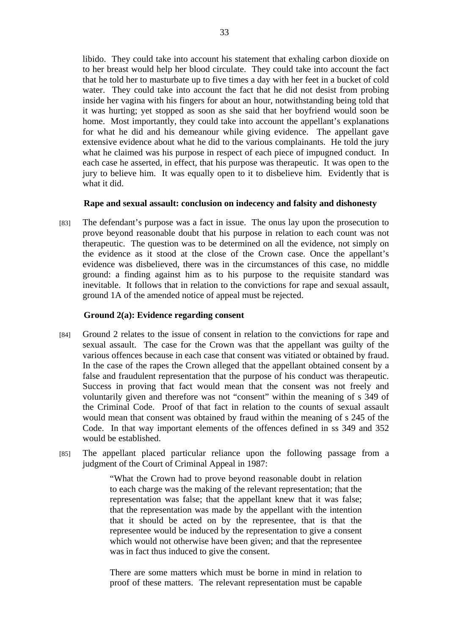libido. They could take into account his statement that exhaling carbon dioxide on to her breast would help her blood circulate. They could take into account the fact that he told her to masturbate up to five times a day with her feet in a bucket of cold water. They could take into account the fact that he did not desist from probing inside her vagina with his fingers for about an hour, notwithstanding being told that it was hurting; yet stopped as soon as she said that her boyfriend would soon be home. Most importantly, they could take into account the appellant's explanations for what he did and his demeanour while giving evidence. The appellant gave extensive evidence about what he did to the various complainants. He told the jury what he claimed was his purpose in respect of each piece of impugned conduct. In each case he asserted, in effect, that his purpose was therapeutic. It was open to the jury to believe him. It was equally open to it to disbelieve him. Evidently that is what it did.

## **Rape and sexual assault: conclusion on indecency and falsity and dishonesty**

[83] The defendant's purpose was a fact in issue. The onus lay upon the prosecution to prove beyond reasonable doubt that his purpose in relation to each count was not therapeutic. The question was to be determined on all the evidence, not simply on the evidence as it stood at the close of the Crown case. Once the appellant's evidence was disbelieved, there was in the circumstances of this case, no middle ground: a finding against him as to his purpose to the requisite standard was inevitable. It follows that in relation to the convictions for rape and sexual assault, ground 1A of the amended notice of appeal must be rejected.

## **Ground 2(a): Evidence regarding consent**

- [84] Ground 2 relates to the issue of consent in relation to the convictions for rape and sexual assault. The case for the Crown was that the appellant was guilty of the various offences because in each case that consent was vitiated or obtained by fraud. In the case of the rapes the Crown alleged that the appellant obtained consent by a false and fraudulent representation that the purpose of his conduct was therapeutic. Success in proving that fact would mean that the consent was not freely and voluntarily given and therefore was not "consent" within the meaning of s 349 of the Criminal Code. Proof of that fact in relation to the counts of sexual assault would mean that consent was obtained by fraud within the meaning of s 245 of the Code. In that way important elements of the offences defined in ss 349 and 352 would be established.
- [85] The appellant placed particular reliance upon the following passage from a judgment of the Court of Criminal Appeal in 1987:

"What the Crown had to prove beyond reasonable doubt in relation to each charge was the making of the relevant representation; that the representation was false; that the appellant knew that it was false; that the representation was made by the appellant with the intention that it should be acted on by the representee, that is that the representee would be induced by the representation to give a consent which would not otherwise have been given; and that the representee was in fact thus induced to give the consent.

There are some matters which must be borne in mind in relation to proof of these matters. The relevant representation must be capable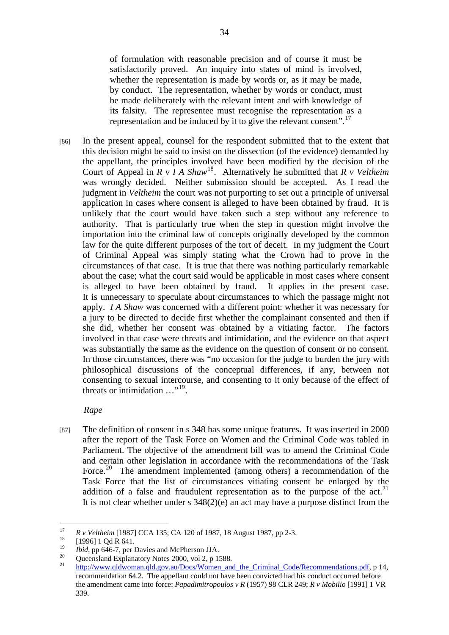of formulation with reasonable precision and of course it must be satisfactorily proved. An inquiry into states of mind is involved, whether the representation is made by words or, as it may be made, by conduct. The representation, whether by words or conduct, must be made deliberately with the relevant intent and with knowledge of its falsity. The representee must recognise the representation as a representation and be induced by it to give the relevant consent".<sup>17</sup>

[86] In the present appeal, counsel for the respondent submitted that to the extent that this decision might be said to insist on the dissection (of the evidence) demanded by the appellant, the principles involved have been modified by the decision of the Court of Appeal in  $\overline{R}$  v  $\overline{I}$  A Shaw<sup>18</sup>. Alternatively he submitted that  $\overline{R}$  v Veltheim was wrongly decided. Neither submission should be accepted. As I read the judgment in *Veltheim* the court was not purporting to set out a principle of universal application in cases where consent is alleged to have been obtained by fraud. It is unlikely that the court would have taken such a step without any reference to authority. That is particularly true when the step in question might involve the importation into the criminal law of concepts originally developed by the common law for the quite different purposes of the tort of deceit. In my judgment the Court of Criminal Appeal was simply stating what the Crown had to prove in the circumstances of that case. It is true that there was nothing particularly remarkable about the case; what the court said would be applicable in most cases where consent is alleged to have been obtained by fraud. It applies in the present case. It is unnecessary to speculate about circumstances to which the passage might not apply. *I A Shaw* was concerned with a different point: whether it was necessary for a jury to be directed to decide first whether the complainant consented and then if she did, whether her consent was obtained by a vitiating factor. The factors involved in that case were threats and intimidation, and the evidence on that aspect was substantially the same as the evidence on the question of consent or no consent. In those circumstances, there was "no occasion for the judge to burden the jury with philosophical discussions of the conceptual differences, if any, between not consenting to sexual intercourse, and consenting to it only because of the effect of threats or intimidation …"19.

## *Rape*

[87] The definition of consent in s 348 has some unique features. It was inserted in 2000 after the report of the Task Force on Women and the Criminal Code was tabled in Parliament. The objective of the amendment bill was to amend the Criminal Code and certain other legislation in accordance with the recommendations of the Task Force.<sup>20</sup> The amendment implemented (among others) a recommendation of the Task Force that the list of circumstances vitiating consent be enlarged by the addition of a false and fraudulent representation as to the purpose of the act.<sup>21</sup> It is not clear whether under s 348(2)(e) an act may have a purpose distinct from the

<sup>17</sup> <sup>17</sup> *R v Veltheim* [1987] CCA 135; CA 120 of 1987, 18 August 1987, pp 2-3.<br><sup>18</sup> [1996] 1 Qd R 641.

<sup>&</sup>lt;sup>19</sup>*Ibid*, pp 646-7, per Davies and McPherson JJA.<br><sup>20</sup> Queensland Explanatory Notes 2000, vol 2, p 1588.

http://www.qldwoman.qld.gov.au/Docs/Women\_and\_the\_Criminal\_Code/Recommendations.pdf, p 14, recommendation 64.2. The appellant could not have been convicted had his conduct occurred before the amendment came into force: *Papadimitropoulos v R* (1957) 98 CLR 249; *R v Mobilio* [1991] 1 VR 339.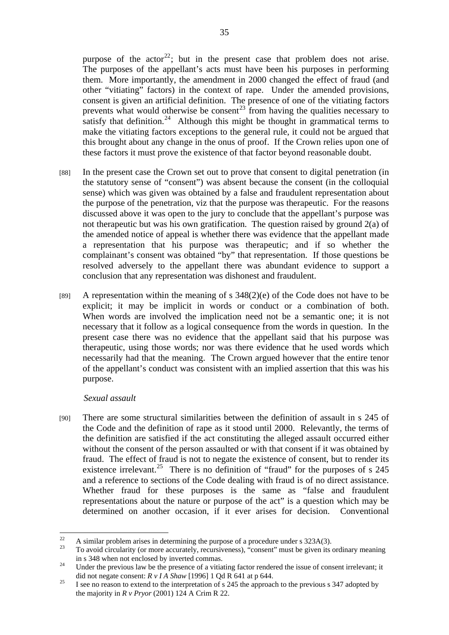purpose of the actor<sup>22</sup>; but in the present case that problem does not arise. The purposes of the appellant's acts must have been his purposes in performing them. More importantly, the amendment in 2000 changed the effect of fraud (and other "vitiating" factors) in the context of rape. Under the amended provisions, consent is given an artificial definition. The presence of one of the vitiating factors prevents what would otherwise be consent<sup>23</sup> from having the qualities necessary to satisfy that definition.<sup>24</sup> Although this might be thought in grammatical terms to make the vitiating factors exceptions to the general rule, it could not be argued that this brought about any change in the onus of proof. If the Crown relies upon one of these factors it must prove the existence of that factor beyond reasonable doubt.

- [88] In the present case the Crown set out to prove that consent to digital penetration (in the statutory sense of "consent") was absent because the consent (in the colloquial sense) which was given was obtained by a false and fraudulent representation about the purpose of the penetration, viz that the purpose was therapeutic. For the reasons discussed above it was open to the jury to conclude that the appellant's purpose was not therapeutic but was his own gratification. The question raised by ground  $2(a)$  of the amended notice of appeal is whether there was evidence that the appellant made a representation that his purpose was therapeutic; and if so whether the complainant's consent was obtained "by" that representation. If those questions be resolved adversely to the appellant there was abundant evidence to support a conclusion that any representation was dishonest and fraudulent.
- [89] A representation within the meaning of s  $348(2)(e)$  of the Code does not have to be explicit; it may be implicit in words or conduct or a combination of both. When words are involved the implication need not be a semantic one; it is not necessary that it follow as a logical consequence from the words in question. In the present case there was no evidence that the appellant said that his purpose was therapeutic, using those words; nor was there evidence that he used words which necessarily had that the meaning. The Crown argued however that the entire tenor of the appellant's conduct was consistent with an implied assertion that this was his purpose.

## *Sexual assault*

[90] There are some structural similarities between the definition of assault in s 245 of the Code and the definition of rape as it stood until 2000. Relevantly, the terms of the definition are satisfied if the act constituting the alleged assault occurred either without the consent of the person assaulted or with that consent if it was obtained by fraud. The effect of fraud is not to negate the existence of consent, but to render its existence irrelevant.<sup>25</sup> There is no definition of "fraud" for the purposes of s  $245$ and a reference to sections of the Code dealing with fraud is of no direct assistance. Whether fraud for these purposes is the same as "false and fraudulent representations about the nature or purpose of the act" is a question which may be determined on another occasion, if it ever arises for decision. Conventional

 $22$ <sup>22</sup> A similar problem arises in determining the purpose of a procedure under s  $323A(3)$ .

<sup>23</sup> To avoid circularity (or more accurately, recursiveness), "consent" must be given its ordinary meaning in s 348 when not enclosed by inverted commas. 24 Under the previous law be the presence of a vitiating factor rendered the issue of consent irrelevant; it

did not negate consent: *R v I A Shaw* [1996] 1 Qd R 641 at p 644.<br>I see no reason to extend to the interpretation of s 245 the approach to the previous s 347 adopted by

the majority in *R v Pryor* (2001) 124 A Crim R 22.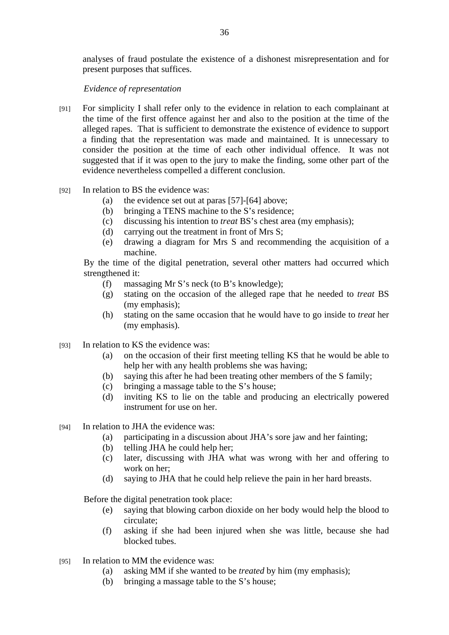analyses of fraud postulate the existence of a dishonest misrepresentation and for present purposes that suffices.

# *Evidence of representation*

- [91] For simplicity I shall refer only to the evidence in relation to each complainant at the time of the first offence against her and also to the position at the time of the alleged rapes. That is sufficient to demonstrate the existence of evidence to support a finding that the representation was made and maintained. It is unnecessary to consider the position at the time of each other individual offence. It was not suggested that if it was open to the jury to make the finding, some other part of the evidence nevertheless compelled a different conclusion.
- [92] In relation to BS the evidence was:
	- (a) the evidence set out at paras [57]-[64] above;
	- (b) bringing a TENS machine to the S's residence;
	- (c) discussing his intention to *treat* BS's chest area (my emphasis);
	- (d) carrying out the treatment in front of Mrs S;
	- (e) drawing a diagram for Mrs S and recommending the acquisition of a machine.

By the time of the digital penetration, several other matters had occurred which strengthened it:

- (f) massaging Mr S's neck (to B's knowledge);
- (g) stating on the occasion of the alleged rape that he needed to *treat* BS (my emphasis);
- (h) stating on the same occasion that he would have to go inside to *treat* her (my emphasis).
- [93] In relation to KS the evidence was:
	- (a) on the occasion of their first meeting telling KS that he would be able to help her with any health problems she was having;
	- (b) saying this after he had been treating other members of the S family;
	- (c) bringing a massage table to the S's house;
	- (d) inviting KS to lie on the table and producing an electrically powered instrument for use on her.
- [94] In relation to JHA the evidence was:
	- (a) participating in a discussion about JHA's sore jaw and her fainting;
	- (b) telling JHA he could help her;
	- (c) later, discussing with JHA what was wrong with her and offering to work on her;
	- (d) saying to JHA that he could help relieve the pain in her hard breasts.

Before the digital penetration took place:

- (e) saying that blowing carbon dioxide on her body would help the blood to circulate;
- (f) asking if she had been injured when she was little, because she had blocked tubes.
- [95] In relation to MM the evidence was:
	- (a) asking MM if she wanted to be *treated* by him (my emphasis);
	- (b) bringing a massage table to the S's house;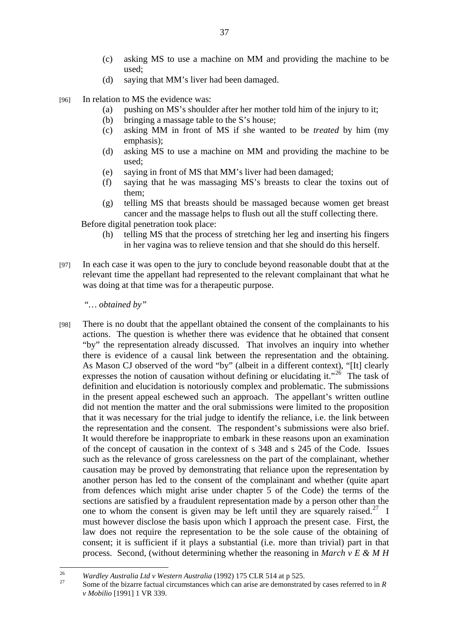- (c) asking MS to use a machine on MM and providing the machine to be used;
- (d) saying that MM's liver had been damaged.
- [96] In relation to MS the evidence was:
	- (a) pushing on MS's shoulder after her mother told him of the injury to it;
	- (b) bringing a massage table to the S's house;
	- (c) asking MM in front of MS if she wanted to be *treated* by him (my emphasis);
	- (d) asking MS to use a machine on MM and providing the machine to be used;
	- (e) saying in front of MS that MM's liver had been damaged;
	- (f) saying that he was massaging MS's breasts to clear the toxins out of them;
	- (g) telling MS that breasts should be massaged because women get breast cancer and the massage helps to flush out all the stuff collecting there.

Before digital penetration took place:

- (h) telling MS that the process of stretching her leg and inserting his fingers in her vagina was to relieve tension and that she should do this herself.
- [97] In each case it was open to the jury to conclude beyond reasonable doubt that at the relevant time the appellant had represented to the relevant complainant that what he was doing at that time was for a therapeutic purpose.

*"… obtained by"* 

[98] There is no doubt that the appellant obtained the consent of the complainants to his actions. The question is whether there was evidence that he obtained that consent "by" the representation already discussed. That involves an inquiry into whether there is evidence of a causal link between the representation and the obtaining. As Mason CJ observed of the word "by" (albeit in a different context), "[It] clearly expresses the notion of causation without defining or elucidating it."<sup>26</sup> The task of definition and elucidation is notoriously complex and problematic. The submissions in the present appeal eschewed such an approach. The appellant's written outline did not mention the matter and the oral submissions were limited to the proposition that it was necessary for the trial judge to identify the reliance, i.e. the link between the representation and the consent. The respondent's submissions were also brief. It would therefore be inappropriate to embark in these reasons upon an examination of the concept of causation in the context of s 348 and s 245 of the Code. Issues such as the relevance of gross carelessness on the part of the complainant, whether causation may be proved by demonstrating that reliance upon the representation by another person has led to the consent of the complainant and whether (quite apart from defences which might arise under chapter 5 of the Code) the terms of the sections are satisfied by a fraudulent representation made by a person other than the one to whom the consent is given may be left until they are squarely raised.<sup>27</sup> I must however disclose the basis upon which I approach the present case. First, the law does not require the representation to be the sole cause of the obtaining of consent; it is sufficient if it plays a substantial (i.e. more than trivial) part in that process. Second, (without determining whether the reasoning in *March v E & M H* 

<sup>26</sup> 

<sup>&</sup>lt;sup>26</sup> Wardley Australia Ltd v Western Australia (1992) 175 CLR 514 at p 525.<br><sup>27</sup> Some of the bizarre factual circumstances which can arise are demonstrated by cases referred to in *R v Mobilio* [1991] 1 VR 339.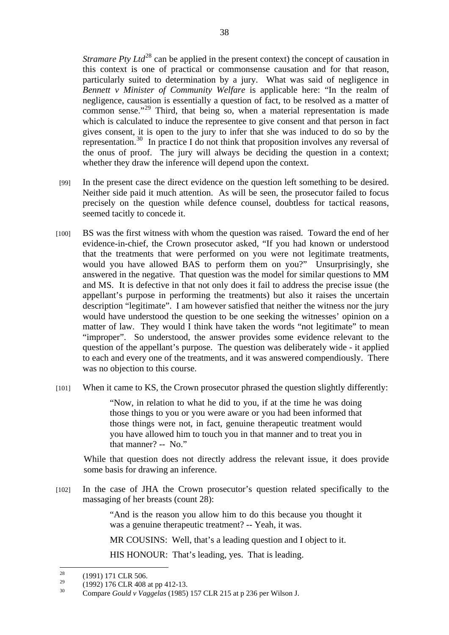*Stramare Pty Ltd*<sup>28</sup> can be applied in the present context) the concept of causation in this context is one of practical or commonsense causation and for that reason, particularly suited to determination by a jury. What was said of negligence in *Bennett v Minister of Community Welfare* is applicable here: "In the realm of negligence, causation is essentially a question of fact, to be resolved as a matter of common sense."29 Third, that being so, when a material representation is made which is calculated to induce the representee to give consent and that person in fact gives consent, it is open to the jury to infer that she was induced to do so by the representation.<sup>30</sup> In practice I do not think that proposition involves any reversal of the onus of proof. The jury will always be deciding the question in a context; whether they draw the inference will depend upon the context.

- [99] In the present case the direct evidence on the question left something to be desired. Neither side paid it much attention. As will be seen, the prosecutor failed to focus precisely on the question while defence counsel, doubtless for tactical reasons, seemed tacitly to concede it.
- [100] BS was the first witness with whom the question was raised. Toward the end of her evidence-in-chief, the Crown prosecutor asked, "If you had known or understood that the treatments that were performed on you were not legitimate treatments, would you have allowed BAS to perform them on you?" Unsurprisingly, she answered in the negative. That question was the model for similar questions to MM and MS. It is defective in that not only does it fail to address the precise issue (the appellant's purpose in performing the treatments) but also it raises the uncertain description "legitimate". I am however satisfied that neither the witness nor the jury would have understood the question to be one seeking the witnesses' opinion on a matter of law. They would I think have taken the words "not legitimate" to mean "improper". So understood, the answer provides some evidence relevant to the question of the appellant's purpose. The question was deliberately wide - it applied to each and every one of the treatments, and it was answered compendiously. There was no objection to this course.
- [101] When it came to KS, the Crown prosecutor phrased the question slightly differently:

"Now, in relation to what he did to you, if at the time he was doing those things to you or you were aware or you had been informed that those things were not, in fact, genuine therapeutic treatment would you have allowed him to touch you in that manner and to treat you in that manner? -- No."

While that question does not directly address the relevant issue, it does provide some basis for drawing an inference.

[102] In the case of JHA the Crown prosecutor's question related specifically to the massaging of her breasts (count 28):

> "And is the reason you allow him to do this because you thought it was a genuine therapeutic treatment? -- Yeah, it was.

MR COUSINS: Well, that's a leading question and I object to it.

HIS HONOUR: That's leading, yes. That is leading.

<sup>28</sup>  $\frac{28}{29}$  (1991) 171 CLR 506.

<sup>&</sup>lt;sup>29</sup> (1992) 176 CLR 408 at pp 412-13.<br>
Compare Gould y Vagaalas (1985)

<sup>30</sup> Compare *Gould v Vaggelas* (1985) 157 CLR 215 at p 236 per Wilson J.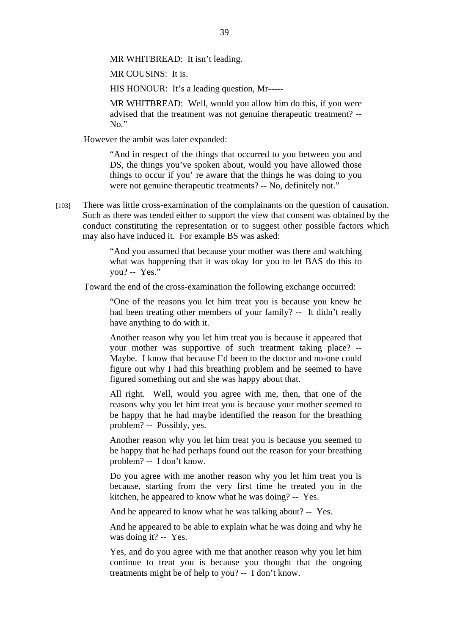MR WHITBREAD: It isn't leading.

MR COUSINS: It is.

HIS HONOUR: It's a leading question, Mr-----

MR WHITBREAD: Well, would you allow him do this, if you were advised that the treatment was not genuine therapeutic treatment? -- No."

However the ambit was later expanded:

"And in respect of the things that occurred to you between you and DS, the things you've spoken about, would you have allowed those things to occur if you' re aware that the things he was doing to you were not genuine therapeutic treatments? -- No, definitely not."

[103] There was little cross-examination of the complainants on the question of causation. Such as there was tended either to support the view that consent was obtained by the conduct constituting the representation or to suggest other possible factors which may also have induced it. For example BS was asked:

> "And you assumed that because your mother was there and watching what was happening that it was okay for you to let BAS do this to you? -- Yes."

Toward the end of the cross-examination the following exchange occurred:

"One of the reasons you let him treat you is because you knew he had been treating other members of your family? -- It didn't really have anything to do with it.

Another reason why you let him treat you is because it appeared that your mother was supportive of such treatment taking place? -- Maybe. I know that because I'd been to the doctor and no-one could figure out why I had this breathing problem and he seemed to have figured something out and she was happy about that.

All right. Well, would you agree with me, then, that one of the reasons why you let him treat you is because your mother seemed to be happy that he had maybe identified the reason for the breathing problem? -- Possibly, yes.

Another reason why you let him treat you is because you seemed to be happy that he had perhaps found out the reason for your breathing problem? -- I don't know.

Do you agree with me another reason why you let him treat you is because, starting from the very first time he treated you in the kitchen, he appeared to know what he was doing? -- Yes.

And he appeared to know what he was talking about? -- Yes.

And he appeared to be able to explain what he was doing and why he was doing it? -- Yes.

Yes, and do you agree with me that another reason why you let him continue to treat you is because you thought that the ongoing treatments might be of help to you? -- I don't know.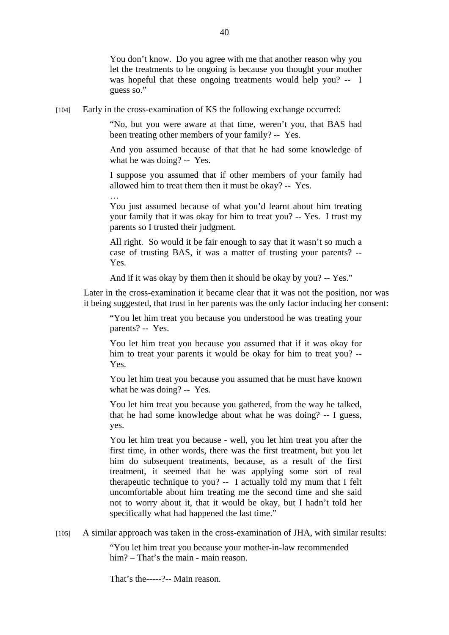You don't know. Do you agree with me that another reason why you let the treatments to be ongoing is because you thought your mother was hopeful that these ongoing treatments would help you? -- I guess so."

[104] Early in the cross-examination of KS the following exchange occurred:

"No, but you were aware at that time, weren't you, that BAS had been treating other members of your family? -- Yes.

And you assumed because of that that he had some knowledge of what he was doing? -- Yes.

I suppose you assumed that if other members of your family had allowed him to treat them then it must be okay? -- Yes.

… You just assumed because of what you'd learnt about him treating your family that it was okay for him to treat you? -- Yes. I trust my parents so I trusted their judgment.

All right. So would it be fair enough to say that it wasn't so much a case of trusting BAS, it was a matter of trusting your parents? -- Yes.

And if it was okay by them then it should be okay by you? -- Yes."

Later in the cross-examination it became clear that it was not the position, nor was it being suggested, that trust in her parents was the only factor inducing her consent:

"You let him treat you because you understood he was treating your parents? -- Yes.

You let him treat you because you assumed that if it was okay for him to treat your parents it would be okay for him to treat you? -- Yes.

You let him treat you because you assumed that he must have known what he was doing? -- Yes.

You let him treat you because you gathered, from the way he talked, that he had some knowledge about what he was doing? -- I guess, yes.

You let him treat you because - well, you let him treat you after the first time, in other words, there was the first treatment, but you let him do subsequent treatments, because, as a result of the first treatment, it seemed that he was applying some sort of real therapeutic technique to you? -- I actually told my mum that I felt uncomfortable about him treating me the second time and she said not to worry about it, that it would be okay, but I hadn't told her specifically what had happened the last time."

[105] A similar approach was taken in the cross-examination of JHA, with similar results:

"You let him treat you because your mother-in-law recommended him? – That's the main - main reason.

That's the-----?-- Main reason.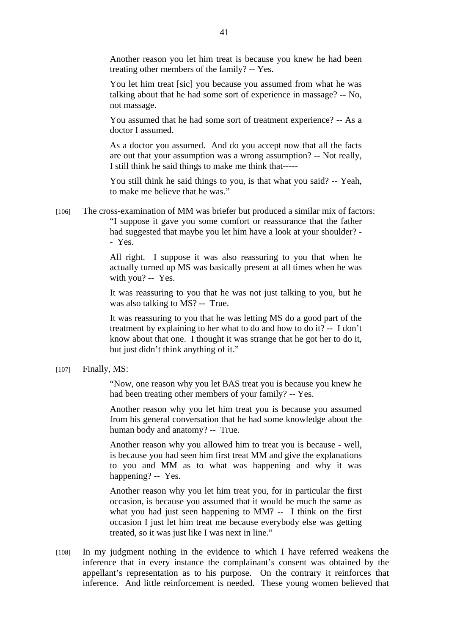Another reason you let him treat is because you knew he had been treating other members of the family? -- Yes.

You let him treat [sic] you because you assumed from what he was talking about that he had some sort of experience in massage? -- No, not massage.

You assumed that he had some sort of treatment experience? -- As a doctor I assumed.

As a doctor you assumed. And do you accept now that all the facts are out that your assumption was a wrong assumption? -- Not really, I still think he said things to make me think that-----

You still think he said things to you, is that what you said? -- Yeah, to make me believe that he was."

[106] The cross-examination of MM was briefer but produced a similar mix of factors: "I suppose it gave you some comfort or reassurance that the father had suggested that maybe you let him have a look at your shoulder? - - Yes.

> All right. I suppose it was also reassuring to you that when he actually turned up MS was basically present at all times when he was with you? -- Yes.

> It was reassuring to you that he was not just talking to you, but he was also talking to MS? -- True.

> It was reassuring to you that he was letting MS do a good part of the treatment by explaining to her what to do and how to do it? -- I don't know about that one. I thought it was strange that he got her to do it, but just didn't think anything of it."

[107] Finally, MS:

"Now, one reason why you let BAS treat you is because you knew he had been treating other members of your family? -- Yes.

Another reason why you let him treat you is because you assumed from his general conversation that he had some knowledge about the human body and anatomy? -- True.

Another reason why you allowed him to treat you is because - well, is because you had seen him first treat MM and give the explanations to you and MM as to what was happening and why it was happening? -- Yes.

Another reason why you let him treat you, for in particular the first occasion, is because you assumed that it would be much the same as what you had just seen happening to MM? -- I think on the first occasion I just let him treat me because everybody else was getting treated, so it was just like I was next in line."

[108] In my judgment nothing in the evidence to which I have referred weakens the inference that in every instance the complainant's consent was obtained by the appellant's representation as to his purpose. On the contrary it reinforces that inference. And little reinforcement is needed. These young women believed that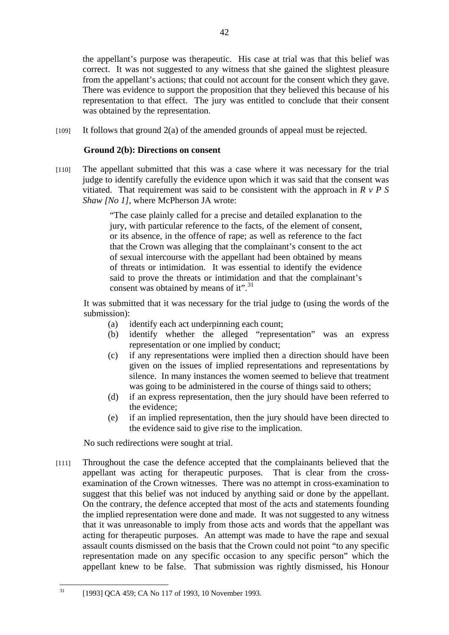the appellant's purpose was therapeutic. His case at trial was that this belief was correct. It was not suggested to any witness that she gained the slightest pleasure from the appellant's actions; that could not account for the consent which they gave. There was evidence to support the proposition that they believed this because of his representation to that effect. The jury was entitled to conclude that their consent was obtained by the representation.

[109] It follows that ground 2(a) of the amended grounds of appeal must be rejected.

# **Ground 2(b): Directions on consent**

[110] The appellant submitted that this was a case where it was necessary for the trial judge to identify carefully the evidence upon which it was said that the consent was vitiated. That requirement was said to be consistent with the approach in *R v P S Shaw [No 1]*, where McPherson JA wrote:

> "The case plainly called for a precise and detailed explanation to the jury, with particular reference to the facts, of the element of consent, or its absence, in the offence of rape; as well as reference to the fact that the Crown was alleging that the complainant's consent to the act of sexual intercourse with the appellant had been obtained by means of threats or intimidation. It was essential to identify the evidence said to prove the threats or intimidation and that the complainant's consent was obtained by means of it".<sup>31</sup>

It was submitted that it was necessary for the trial judge to (using the words of the submission):

- (a) identify each act underpinning each count;
- (b) identify whether the alleged "representation" was an express representation or one implied by conduct;
- (c) if any representations were implied then a direction should have been given on the issues of implied representations and representations by silence. In many instances the women seemed to believe that treatment was going to be administered in the course of things said to others;
- (d) if an express representation, then the jury should have been referred to the evidence;
- (e) if an implied representation, then the jury should have been directed to the evidence said to give rise to the implication.

No such redirections were sought at trial.

[111] Throughout the case the defence accepted that the complainants believed that the appellant was acting for therapeutic purposes. That is clear from the crossexamination of the Crown witnesses. There was no attempt in cross-examination to suggest that this belief was not induced by anything said or done by the appellant. On the contrary, the defence accepted that most of the acts and statements founding the implied representation were done and made. It was not suggested to any witness that it was unreasonable to imply from those acts and words that the appellant was acting for therapeutic purposes. An attempt was made to have the rape and sexual assault counts dismissed on the basis that the Crown could not point "to any specific representation made on any specific occasion to any specific person" which the appellant knew to be false. That submission was rightly dismissed, his Honour

 $31$ [1993] QCA 459; CA No 117 of 1993, 10 November 1993.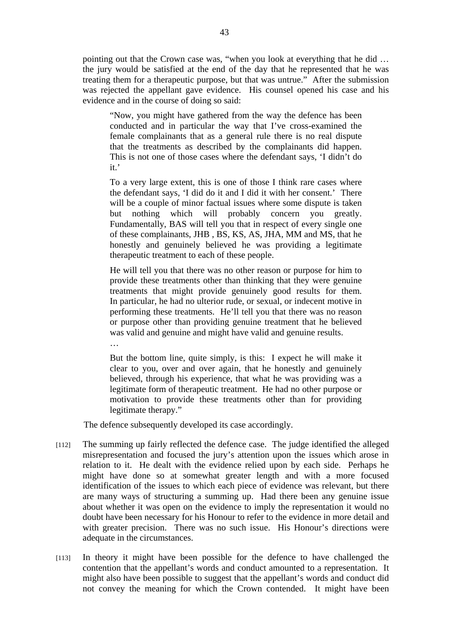pointing out that the Crown case was, "when you look at everything that he did … the jury would be satisfied at the end of the day that he represented that he was treating them for a therapeutic purpose, but that was untrue." After the submission was rejected the appellant gave evidence. His counsel opened his case and his evidence and in the course of doing so said:

"Now, you might have gathered from the way the defence has been conducted and in particular the way that I've cross-examined the female complainants that as a general rule there is no real dispute that the treatments as described by the complainants did happen. This is not one of those cases where the defendant says, 'I didn't do it<sup>'</sup>

To a very large extent, this is one of those I think rare cases where the defendant says, 'I did do it and I did it with her consent.' There will be a couple of minor factual issues where some dispute is taken but nothing which will probably concern you greatly. Fundamentally, BAS will tell you that in respect of every single one of these complainants, JHB , BS, KS, AS, JHA, MM and MS, that he honestly and genuinely believed he was providing a legitimate therapeutic treatment to each of these people.

He will tell you that there was no other reason or purpose for him to provide these treatments other than thinking that they were genuine treatments that might provide genuinely good results for them. In particular, he had no ulterior rude, or sexual, or indecent motive in performing these treatments. He'll tell you that there was no reason or purpose other than providing genuine treatment that he believed was valid and genuine and might have valid and genuine results.

…

But the bottom line, quite simply, is this: I expect he will make it clear to you, over and over again, that he honestly and genuinely believed, through his experience, that what he was providing was a legitimate form of therapeutic treatment. He had no other purpose or motivation to provide these treatments other than for providing legitimate therapy."

The defence subsequently developed its case accordingly.

- [112] The summing up fairly reflected the defence case. The judge identified the alleged misrepresentation and focused the jury's attention upon the issues which arose in relation to it. He dealt with the evidence relied upon by each side. Perhaps he might have done so at somewhat greater length and with a more focused identification of the issues to which each piece of evidence was relevant, but there are many ways of structuring a summing up. Had there been any genuine issue about whether it was open on the evidence to imply the representation it would no doubt have been necessary for his Honour to refer to the evidence in more detail and with greater precision. There was no such issue. His Honour's directions were adequate in the circumstances.
- [113] In theory it might have been possible for the defence to have challenged the contention that the appellant's words and conduct amounted to a representation. It might also have been possible to suggest that the appellant's words and conduct did not convey the meaning for which the Crown contended. It might have been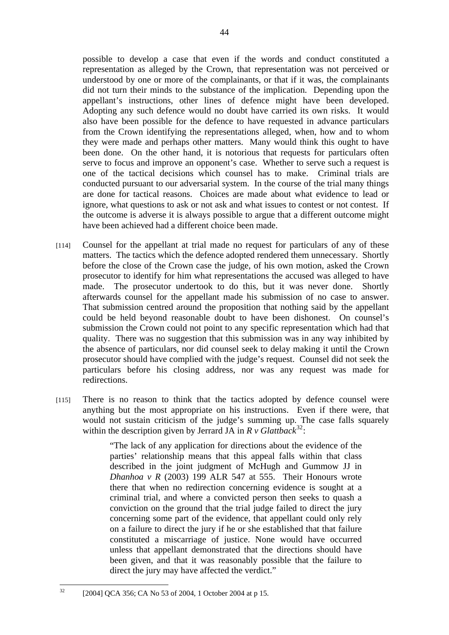possible to develop a case that even if the words and conduct constituted a representation as alleged by the Crown, that representation was not perceived or understood by one or more of the complainants, or that if it was, the complainants did not turn their minds to the substance of the implication. Depending upon the appellant's instructions, other lines of defence might have been developed. Adopting any such defence would no doubt have carried its own risks. It would also have been possible for the defence to have requested in advance particulars from the Crown identifying the representations alleged, when, how and to whom they were made and perhaps other matters. Many would think this ought to have been done. On the other hand, it is notorious that requests for particulars often serve to focus and improve an opponent's case. Whether to serve such a request is one of the tactical decisions which counsel has to make. Criminal trials are conducted pursuant to our adversarial system. In the course of the trial many things are done for tactical reasons. Choices are made about what evidence to lead or ignore, what questions to ask or not ask and what issues to contest or not contest. If the outcome is adverse it is always possible to argue that a different outcome might have been achieved had a different choice been made.

- [114] Counsel for the appellant at trial made no request for particulars of any of these matters. The tactics which the defence adopted rendered them unnecessary. Shortly before the close of the Crown case the judge, of his own motion, asked the Crown prosecutor to identify for him what representations the accused was alleged to have made. The prosecutor undertook to do this, but it was never done. Shortly afterwards counsel for the appellant made his submission of no case to answer. That submission centred around the proposition that nothing said by the appellant could be held beyond reasonable doubt to have been dishonest. On counsel's submission the Crown could not point to any specific representation which had that quality. There was no suggestion that this submission was in any way inhibited by the absence of particulars, nor did counsel seek to delay making it until the Crown prosecutor should have complied with the judge's request. Counsel did not seek the particulars before his closing address, nor was any request was made for redirections.
- [115] There is no reason to think that the tactics adopted by defence counsel were anything but the most appropriate on his instructions. Even if there were, that would not sustain criticism of the judge's summing up. The case falls squarely within the description given by Jerrard JA in  $R \nu$  Glattback<sup>32</sup>:

"The lack of any application for directions about the evidence of the parties' relationship means that this appeal falls within that class described in the joint judgment of McHugh and Gummow JJ in *Dhanhoa v R* (2003) 199 ALR 547 at 555. Their Honours wrote there that when no redirection concerning evidence is sought at a criminal trial, and where a convicted person then seeks to quash a conviction on the ground that the trial judge failed to direct the jury concerning some part of the evidence, that appellant could only rely on a failure to direct the jury if he or she established that that failure constituted a miscarriage of justice. None would have occurred unless that appellant demonstrated that the directions should have been given, and that it was reasonably possible that the failure to direct the jury may have affected the verdict."

 $32$ [2004] QCA 356; CA No 53 of 2004, 1 October 2004 at p 15.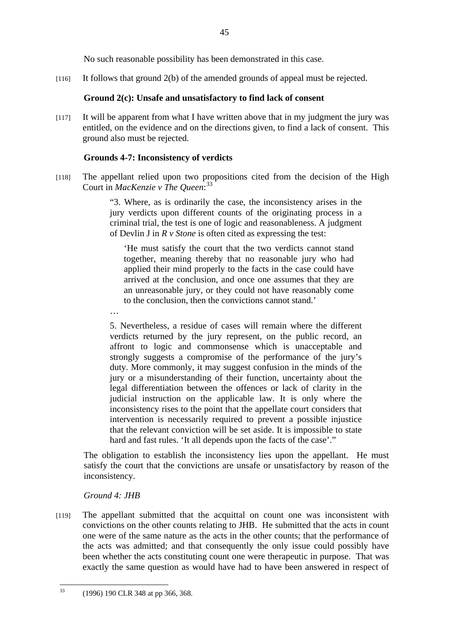No such reasonable possibility has been demonstrated in this case.

[116] It follows that ground 2(b) of the amended grounds of appeal must be rejected.

## **Ground 2(c): Unsafe and unsatisfactory to find lack of consent**

[117] It will be apparent from what I have written above that in my judgment the jury was entitled, on the evidence and on the directions given, to find a lack of consent. This ground also must be rejected.

## **Grounds 4-7: Inconsistency of verdicts**

[118] The appellant relied upon two propositions cited from the decision of the High Court in *MacKenzie v The Queen*: 33

> "3. Where, as is ordinarily the case, the inconsistency arises in the jury verdicts upon different counts of the originating process in a criminal trial, the test is one of logic and reasonableness. A judgment of Devlin J in *R v Stone* is often cited as expressing the test:

'He must satisfy the court that the two verdicts cannot stand together, meaning thereby that no reasonable jury who had applied their mind properly to the facts in the case could have arrived at the conclusion, and once one assumes that they are an unreasonable jury, or they could not have reasonably come to the conclusion, then the convictions cannot stand.'

…

5. Nevertheless, a residue of cases will remain where the different verdicts returned by the jury represent, on the public record, an affront to logic and commonsense which is unacceptable and strongly suggests a compromise of the performance of the jury's duty. More commonly, it may suggest confusion in the minds of the jury or a misunderstanding of their function, uncertainty about the legal differentiation between the offences or lack of clarity in the judicial instruction on the applicable law. It is only where the inconsistency rises to the point that the appellate court considers that intervention is necessarily required to prevent a possible injustice that the relevant conviction will be set aside. It is impossible to state hard and fast rules. 'It all depends upon the facts of the case'."

The obligation to establish the inconsistency lies upon the appellant. He must satisfy the court that the convictions are unsafe or unsatisfactory by reason of the inconsistency.

## *Ground 4: JHB*

[119] The appellant submitted that the acquittal on count one was inconsistent with convictions on the other counts relating to JHB. He submitted that the acts in count one were of the same nature as the acts in the other counts; that the performance of the acts was admitted; and that consequently the only issue could possibly have been whether the acts constituting count one were therapeutic in purpose. That was exactly the same question as would have had to have been answered in respect of

 $33$ 33 (1996) 190 CLR 348 at pp 366, 368.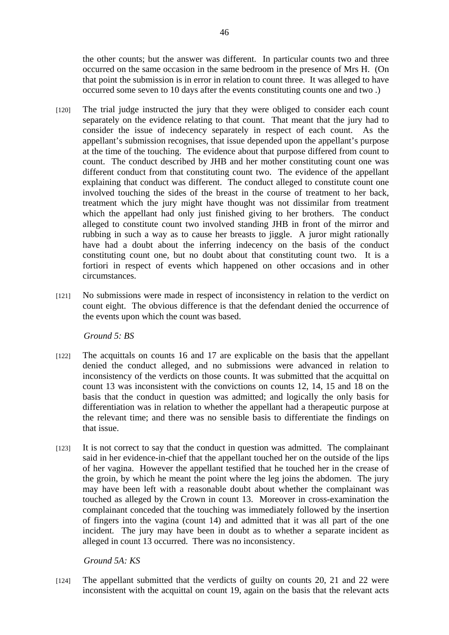the other counts; but the answer was different. In particular counts two and three occurred on the same occasion in the same bedroom in the presence of Mrs H. (On that point the submission is in error in relation to count three. It was alleged to have occurred some seven to 10 days after the events constituting counts one and two .)

- [120] The trial judge instructed the jury that they were obliged to consider each count separately on the evidence relating to that count. That meant that the jury had to consider the issue of indecency separately in respect of each count. As the appellant's submission recognises, that issue depended upon the appellant's purpose at the time of the touching. The evidence about that purpose differed from count to count. The conduct described by JHB and her mother constituting count one was different conduct from that constituting count two. The evidence of the appellant explaining that conduct was different. The conduct alleged to constitute count one involved touching the sides of the breast in the course of treatment to her back, treatment which the jury might have thought was not dissimilar from treatment which the appellant had only just finished giving to her brothers. The conduct alleged to constitute count two involved standing JHB in front of the mirror and rubbing in such a way as to cause her breasts to jiggle. A juror might rationally have had a doubt about the inferring indecency on the basis of the conduct constituting count one, but no doubt about that constituting count two. It is a fortiori in respect of events which happened on other occasions and in other circumstances.
- [121] No submissions were made in respect of inconsistency in relation to the verdict on count eight. The obvious difference is that the defendant denied the occurrence of the events upon which the count was based.

## *Ground 5: BS*

- [122] The acquittals on counts 16 and 17 are explicable on the basis that the appellant denied the conduct alleged, and no submissions were advanced in relation to inconsistency of the verdicts on those counts. It was submitted that the acquittal on count 13 was inconsistent with the convictions on counts 12, 14, 15 and 18 on the basis that the conduct in question was admitted; and logically the only basis for differentiation was in relation to whether the appellant had a therapeutic purpose at the relevant time; and there was no sensible basis to differentiate the findings on that issue.
- [123] It is not correct to say that the conduct in question was admitted. The complainant said in her evidence-in-chief that the appellant touched her on the outside of the lips of her vagina. However the appellant testified that he touched her in the crease of the groin, by which he meant the point where the leg joins the abdomen. The jury may have been left with a reasonable doubt about whether the complainant was touched as alleged by the Crown in count 13. Moreover in cross-examination the complainant conceded that the touching was immediately followed by the insertion of fingers into the vagina (count 14) and admitted that it was all part of the one incident. The jury may have been in doubt as to whether a separate incident as alleged in count 13 occurred. There was no inconsistency.

# *Ground 5A: KS*

[124] The appellant submitted that the verdicts of guilty on counts 20, 21 and 22 were inconsistent with the acquittal on count 19, again on the basis that the relevant acts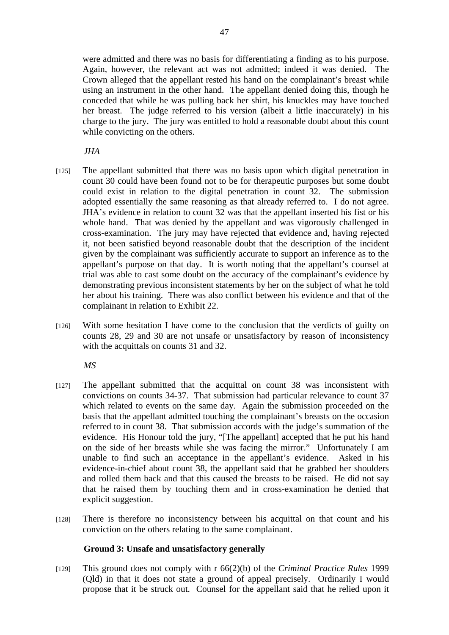were admitted and there was no basis for differentiating a finding as to his purpose. Again, however, the relevant act was not admitted; indeed it was denied. The Crown alleged that the appellant rested his hand on the complainant's breast while using an instrument in the other hand. The appellant denied doing this, though he conceded that while he was pulling back her shirt, his knuckles may have touched her breast. The judge referred to his version (albeit a little inaccurately) in his charge to the jury. The jury was entitled to hold a reasonable doubt about this count while convicting on the others.

*JHA* 

- [125] The appellant submitted that there was no basis upon which digital penetration in count 30 could have been found not to be for therapeutic purposes but some doubt could exist in relation to the digital penetration in count 32. The submission adopted essentially the same reasoning as that already referred to. I do not agree. JHA's evidence in relation to count 32 was that the appellant inserted his fist or his whole hand. That was denied by the appellant and was vigorously challenged in cross-examination. The jury may have rejected that evidence and, having rejected it, not been satisfied beyond reasonable doubt that the description of the incident given by the complainant was sufficiently accurate to support an inference as to the appellant's purpose on that day. It is worth noting that the appellant's counsel at trial was able to cast some doubt on the accuracy of the complainant's evidence by demonstrating previous inconsistent statements by her on the subject of what he told her about his training. There was also conflict between his evidence and that of the complainant in relation to Exhibit 22.
- [126] With some hesitation I have come to the conclusion that the verdicts of guilty on counts 28, 29 and 30 are not unsafe or unsatisfactory by reason of inconsistency with the acquittals on counts 31 and 32.

*MS* 

- [127] The appellant submitted that the acquittal on count 38 was inconsistent with convictions on counts 34-37. That submission had particular relevance to count 37 which related to events on the same day. Again the submission proceeded on the basis that the appellant admitted touching the complainant's breasts on the occasion referred to in count 38. That submission accords with the judge's summation of the evidence. His Honour told the jury, "[The appellant] accepted that he put his hand on the side of her breasts while she was facing the mirror." Unfortunately I am unable to find such an acceptance in the appellant's evidence. Asked in his evidence-in-chief about count 38, the appellant said that he grabbed her shoulders and rolled them back and that this caused the breasts to be raised. He did not say that he raised them by touching them and in cross-examination he denied that explicit suggestion.
- [128] There is therefore no inconsistency between his acquittal on that count and his conviction on the others relating to the same complainant.

## **Ground 3: Unsafe and unsatisfactory generally**

[129] This ground does not comply with r 66(2)(b) of the *Criminal Practice Rules* 1999 (Qld) in that it does not state a ground of appeal precisely. Ordinarily I would propose that it be struck out. Counsel for the appellant said that he relied upon it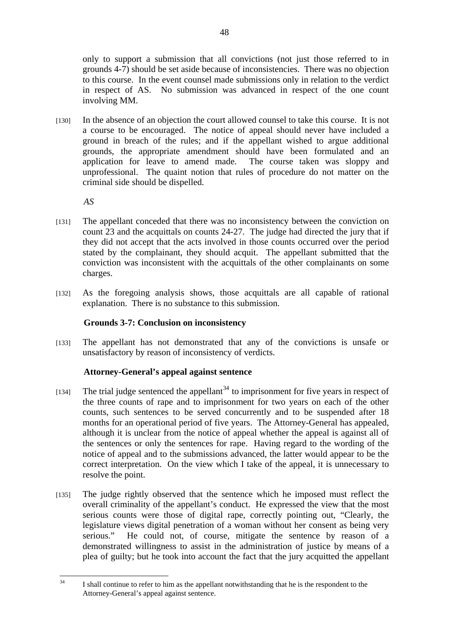only to support a submission that all convictions (not just those referred to in grounds 4-7) should be set aside because of inconsistencies. There was no objection to this course. In the event counsel made submissions only in relation to the verdict in respect of AS. No submission was advanced in respect of the one count involving MM.

[130] In the absence of an objection the court allowed counsel to take this course. It is not a course to be encouraged. The notice of appeal should never have included a ground in breach of the rules; and if the appellant wished to argue additional grounds, the appropriate amendment should have been formulated and an application for leave to amend made. The course taken was sloppy and unprofessional. The quaint notion that rules of procedure do not matter on the criminal side should be dispelled.

*AS* 

- [131] The appellant conceded that there was no inconsistency between the conviction on count 23 and the acquittals on counts 24-27. The judge had directed the jury that if they did not accept that the acts involved in those counts occurred over the period stated by the complainant, they should acquit. The appellant submitted that the conviction was inconsistent with the acquittals of the other complainants on some charges.
- [132] As the foregoing analysis shows, those acquittals are all capable of rational explanation. There is no substance to this submission.

## **Grounds 3-7: Conclusion on inconsistency**

[133] The appellant has not demonstrated that any of the convictions is unsafe or unsatisfactory by reason of inconsistency of verdicts.

## **Attorney-General's appeal against sentence**

- [134] The trial judge sentenced the appellant<sup>34</sup> to imprisonment for five years in respect of the three counts of rape and to imprisonment for two years on each of the other counts, such sentences to be served concurrently and to be suspended after 18 months for an operational period of five years. The Attorney-General has appealed, although it is unclear from the notice of appeal whether the appeal is against all of the sentences or only the sentences for rape. Having regard to the wording of the notice of appeal and to the submissions advanced, the latter would appear to be the correct interpretation. On the view which I take of the appeal, it is unnecessary to resolve the point.
- [135] The judge rightly observed that the sentence which he imposed must reflect the overall criminality of the appellant's conduct. He expressed the view that the most serious counts were those of digital rape, correctly pointing out, "Clearly, the legislature views digital penetration of a woman without her consent as being very serious." He could not, of course, mitigate the sentence by reason of a demonstrated willingness to assist in the administration of justice by means of a plea of guilty; but he took into account the fact that the jury acquitted the appellant

 $34$ I shall continue to refer to him as the appellant notwithstanding that he is the respondent to the Attorney-General's appeal against sentence.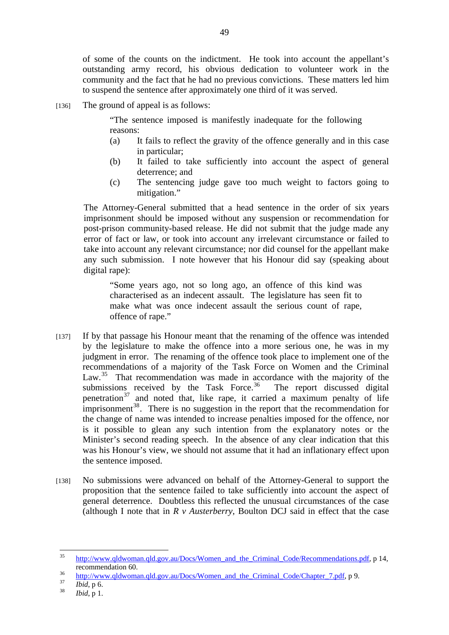of some of the counts on the indictment. He took into account the appellant's outstanding army record, his obvious dedication to volunteer work in the community and the fact that he had no previous convictions. These matters led him to suspend the sentence after approximately one third of it was served.

[136] The ground of appeal is as follows:

"The sentence imposed is manifestly inadequate for the following reasons:

- (a) It fails to reflect the gravity of the offence generally and in this case in particular;
- (b) It failed to take sufficiently into account the aspect of general deterrence; and
- (c) The sentencing judge gave too much weight to factors going to mitigation."

The Attorney-General submitted that a head sentence in the order of six years imprisonment should be imposed without any suspension or recommendation for post-prison community-based release. He did not submit that the judge made any error of fact or law, or took into account any irrelevant circumstance or failed to take into account any relevant circumstance; nor did counsel for the appellant make any such submission. I note however that his Honour did say (speaking about digital rape):

"Some years ago, not so long ago, an offence of this kind was characterised as an indecent assault. The legislature has seen fit to make what was once indecent assault the serious count of rape, offence of rape."

- [137] If by that passage his Honour meant that the renaming of the offence was intended by the legislature to make the offence into a more serious one, he was in my judgment in error. The renaming of the offence took place to implement one of the recommendations of a majority of the Task Force on Women and the Criminal Law.<sup>35</sup> That recommendation was made in accordance with the majority of the submissions received by the Task Force.<sup>36</sup> The report discussed digital penetration $37$  and noted that, like rape, it carried a maximum penalty of life imprisonment<sup>38</sup>. There is no suggestion in the report that the recommendation for the change of name was intended to increase penalties imposed for the offence, nor is it possible to glean any such intention from the explanatory notes or the Minister's second reading speech. In the absence of any clear indication that this was his Honour's view, we should not assume that it had an inflationary effect upon the sentence imposed.
- [138] No submissions were advanced on behalf of the Attorney-General to support the proposition that the sentence failed to take sufficiently into account the aspect of general deterrence. Doubtless this reflected the unusual circumstances of the case (although I note that in  $R \vee$  *Austerberry*, Boulton DCJ said in effect that the case

 $35$ http://www.qldwoman.qld.gov.au/Docs/Women\_and\_the\_Criminal\_Code/Recommendations.pdf, p 14, recommendation 60.<br>
<sup>36</sup> http://www.qldwoman.qld.gov.au/Docs/Women\_and\_the\_Criminal\_Code/Chapter\_7.pdf, p 9.<br> *Ibid*, p 6.<br> *Ibid*, p 1.